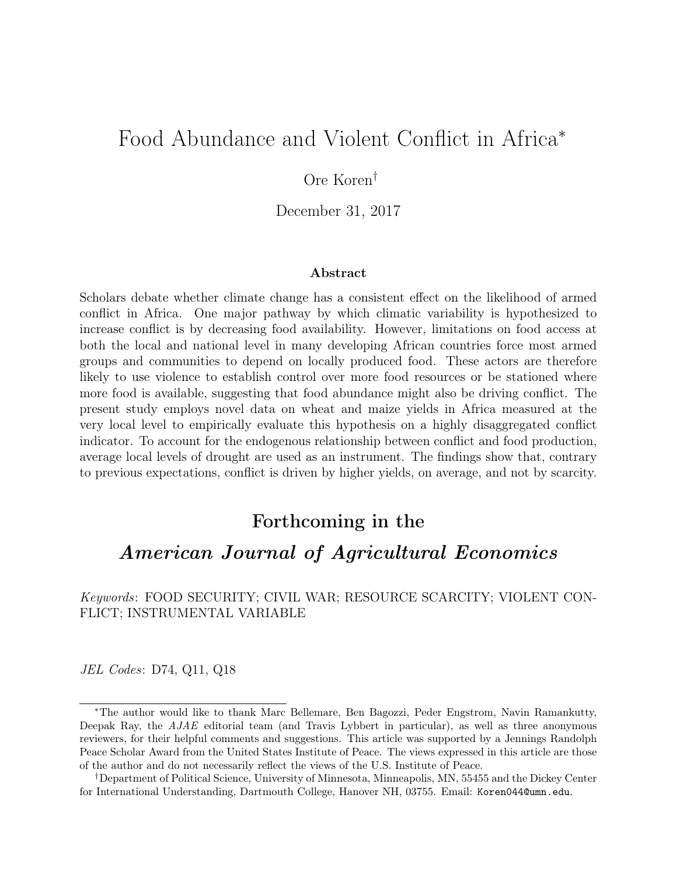# Food Abundance and Violent Conflict in Africa<sup>∗</sup>

## Ore Koren†

December 31, 2017

#### Abstract

Scholars debate whether climate change has a consistent effect on the likelihood of armed conflict in Africa. One major pathway by which climatic variability is hypothesized to increase conflict is by decreasing food availability. However, limitations on food access at both the local and national level in many developing African countries force most armed groups and communities to depend on locally produced food. These actors are therefore likely to use violence to establish control over more food resources or be stationed where more food is available, suggesting that food abundance might also be driving conflict. The present study employs novel data on wheat and maize yields in Africa measured at the very local level to empirically evaluate this hypothesis on a highly disaggregated conflict indicator. To account for the endogenous relationship between conflict and food production, average local levels of drought are used as an instrument. The findings show that, contrary to previous expectations, conflict is driven by higher yields, on average, and not by scarcity.

## Forthcoming in the

## American Journal of Agricultural Economics

Keywords: FOOD SECURITY; CIVIL WAR; RESOURCE SCARCITY; VIOLENT CON-FLICT; INSTRUMENTAL VARIABLE

JEL Codes: D74, Q11, Q18

<sup>∗</sup>The author would like to thank Marc Bellemare, Ben Bagozzi, Peder Engstrom, Navin Ramankutty, Deepak Ray, the AJAE editorial team (and Travis Lybbert in particular), as well as three anonymous reviewers, for their helpful comments and suggestions. This article was supported by a Jennings Randolph Peace Scholar Award from the United States Institute of Peace. The views expressed in this article are those of the author and do not necessarily reflect the views of the U.S. Institute of Peace.

<sup>†</sup>Department of Political Science, University of Minnesota, Minneapolis, MN, 55455 and the Dickey Center for International Understanding, Dartmouth College, Hanover NH, 03755. Email: Koren044@umn.edu.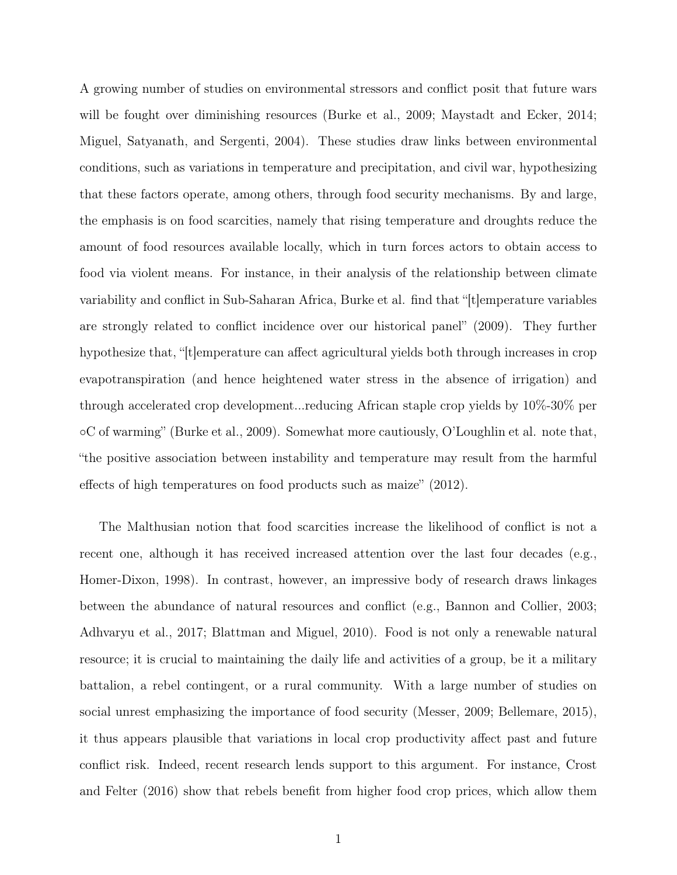A growing number of studies on environmental stressors and conflict posit that future wars will be fought over diminishing resources (Burke et al., 2009; Maystadt and Ecker, 2014; Miguel, Satyanath, and Sergenti, 2004). These studies draw links between environmental conditions, such as variations in temperature and precipitation, and civil war, hypothesizing that these factors operate, among others, through food security mechanisms. By and large, the emphasis is on food scarcities, namely that rising temperature and droughts reduce the amount of food resources available locally, which in turn forces actors to obtain access to food via violent means. For instance, in their analysis of the relationship between climate variability and conflict in Sub-Saharan Africa, Burke et al. find that "[t]emperature variables are strongly related to conflict incidence over our historical panel" (2009). They further hypothesize that, "[t]emperature can affect agricultural yields both through increases in crop evapotranspiration (and hence heightened water stress in the absence of irrigation) and through accelerated crop development...reducing African staple crop yields by 10%-30% per ◦C of warming" (Burke et al., 2009). Somewhat more cautiously, O'Loughlin et al. note that, "the positive association between instability and temperature may result from the harmful effects of high temperatures on food products such as maize" (2012).

The Malthusian notion that food scarcities increase the likelihood of conflict is not a recent one, although it has received increased attention over the last four decades (e.g., Homer-Dixon, 1998). In contrast, however, an impressive body of research draws linkages between the abundance of natural resources and conflict (e.g., Bannon and Collier, 2003; Adhvaryu et al., 2017; Blattman and Miguel, 2010). Food is not only a renewable natural resource; it is crucial to maintaining the daily life and activities of a group, be it a military battalion, a rebel contingent, or a rural community. With a large number of studies on social unrest emphasizing the importance of food security (Messer, 2009; Bellemare, 2015), it thus appears plausible that variations in local crop productivity affect past and future conflict risk. Indeed, recent research lends support to this argument. For instance, Crost and Felter (2016) show that rebels benefit from higher food crop prices, which allow them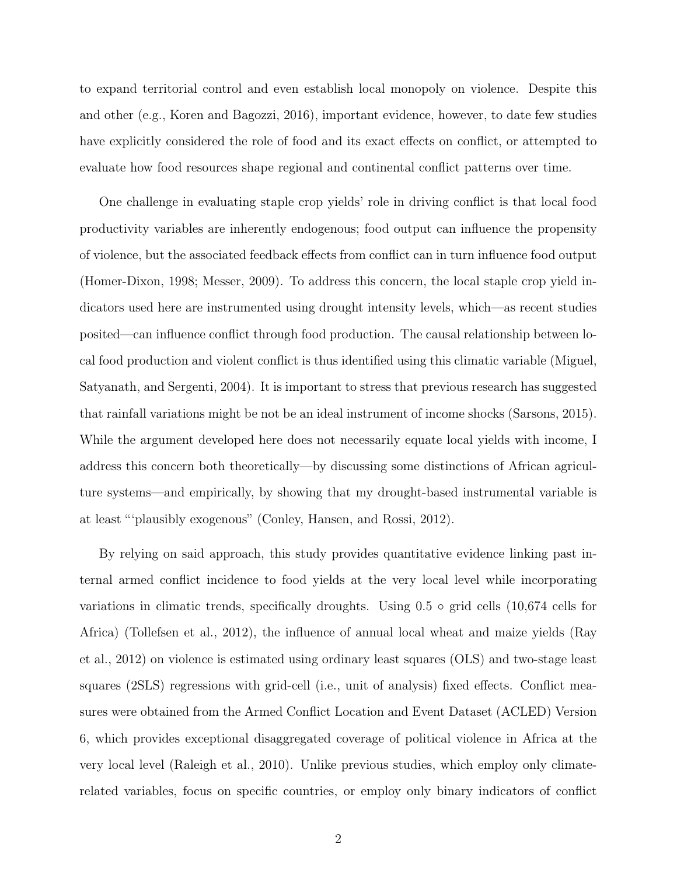to expand territorial control and even establish local monopoly on violence. Despite this and other (e.g., Koren and Bagozzi, 2016), important evidence, however, to date few studies have explicitly considered the role of food and its exact effects on conflict, or attempted to evaluate how food resources shape regional and continental conflict patterns over time.

One challenge in evaluating staple crop yields' role in driving conflict is that local food productivity variables are inherently endogenous; food output can influence the propensity of violence, but the associated feedback effects from conflict can in turn influence food output (Homer-Dixon, 1998; Messer, 2009). To address this concern, the local staple crop yield indicators used here are instrumented using drought intensity levels, which—as recent studies posited—can influence conflict through food production. The causal relationship between local food production and violent conflict is thus identified using this climatic variable (Miguel, Satyanath, and Sergenti, 2004). It is important to stress that previous research has suggested that rainfall variations might be not be an ideal instrument of income shocks (Sarsons, 2015). While the argument developed here does not necessarily equate local yields with income, I address this concern both theoretically—by discussing some distinctions of African agriculture systems—and empirically, by showing that my drought-based instrumental variable is at least "'plausibly exogenous" (Conley, Hansen, and Rossi, 2012).

By relying on said approach, this study provides quantitative evidence linking past internal armed conflict incidence to food yields at the very local level while incorporating variations in climatic trends, specifically droughts. Using  $0.5 \circ$  grid cells  $(10,674 \text{ cells for})$ Africa) (Tollefsen et al., 2012), the influence of annual local wheat and maize yields (Ray et al., 2012) on violence is estimated using ordinary least squares (OLS) and two-stage least squares (2SLS) regressions with grid-cell (i.e., unit of analysis) fixed effects. Conflict measures were obtained from the Armed Conflict Location and Event Dataset (ACLED) Version 6, which provides exceptional disaggregated coverage of political violence in Africa at the very local level (Raleigh et al., 2010). Unlike previous studies, which employ only climaterelated variables, focus on specific countries, or employ only binary indicators of conflict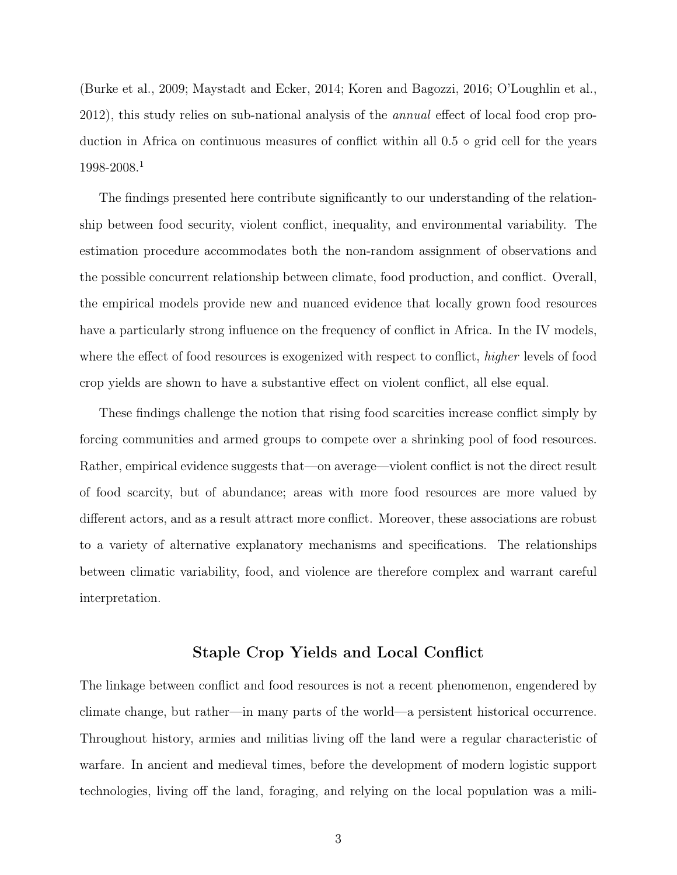(Burke et al., 2009; Maystadt and Ecker, 2014; Koren and Bagozzi, 2016; O'Loughlin et al., 2012), this study relies on sub-national analysis of the annual effect of local food crop production in Africa on continuous measures of conflict within all  $0.5 \circ$  grid cell for the years 1998-2008.<sup>1</sup>

The findings presented here contribute significantly to our understanding of the relationship between food security, violent conflict, inequality, and environmental variability. The estimation procedure accommodates both the non-random assignment of observations and the possible concurrent relationship between climate, food production, and conflict. Overall, the empirical models provide new and nuanced evidence that locally grown food resources have a particularly strong influence on the frequency of conflict in Africa. In the IV models, where the effect of food resources is exogenized with respect to conflict, *higher* levels of food crop yields are shown to have a substantive effect on violent conflict, all else equal.

These findings challenge the notion that rising food scarcities increase conflict simply by forcing communities and armed groups to compete over a shrinking pool of food resources. Rather, empirical evidence suggests that—on average—violent conflict is not the direct result of food scarcity, but of abundance; areas with more food resources are more valued by different actors, and as a result attract more conflict. Moreover, these associations are robust to a variety of alternative explanatory mechanisms and specifications. The relationships between climatic variability, food, and violence are therefore complex and warrant careful interpretation.

## Staple Crop Yields and Local Conflict

The linkage between conflict and food resources is not a recent phenomenon, engendered by climate change, but rather—in many parts of the world—a persistent historical occurrence. Throughout history, armies and militias living off the land were a regular characteristic of warfare. In ancient and medieval times, before the development of modern logistic support technologies, living off the land, foraging, and relying on the local population was a mili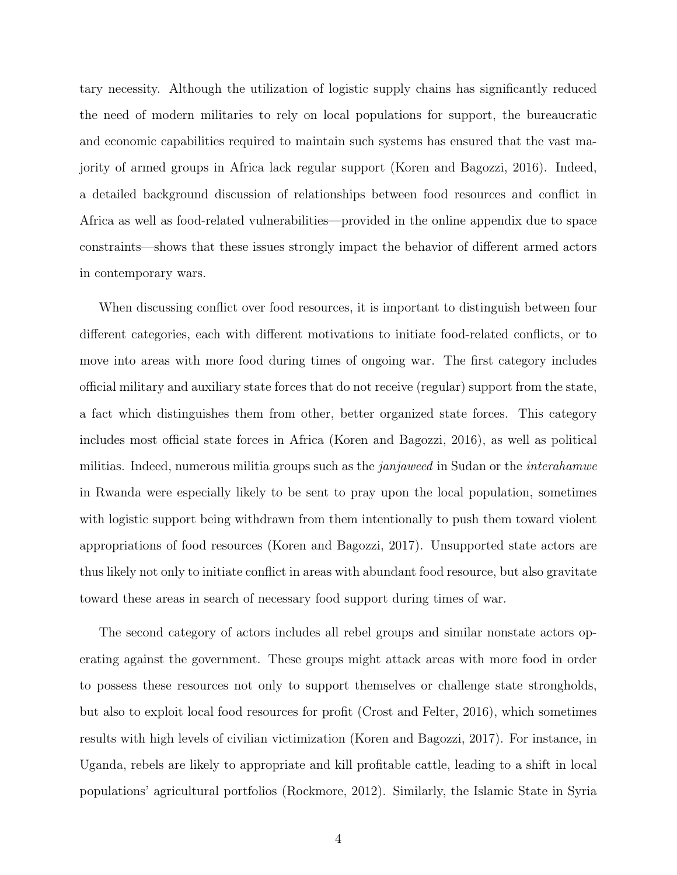tary necessity. Although the utilization of logistic supply chains has significantly reduced the need of modern militaries to rely on local populations for support, the bureaucratic and economic capabilities required to maintain such systems has ensured that the vast majority of armed groups in Africa lack regular support (Koren and Bagozzi, 2016). Indeed, a detailed background discussion of relationships between food resources and conflict in Africa as well as food-related vulnerabilities—provided in the online appendix due to space constraints—shows that these issues strongly impact the behavior of different armed actors in contemporary wars.

When discussing conflict over food resources, it is important to distinguish between four different categories, each with different motivations to initiate food-related conflicts, or to move into areas with more food during times of ongoing war. The first category includes official military and auxiliary state forces that do not receive (regular) support from the state, a fact which distinguishes them from other, better organized state forces. This category includes most official state forces in Africa (Koren and Bagozzi, 2016), as well as political militias. Indeed, numerous militia groups such as the janjaweed in Sudan or the interahamwe in Rwanda were especially likely to be sent to pray upon the local population, sometimes with logistic support being withdrawn from them intentionally to push them toward violent appropriations of food resources (Koren and Bagozzi, 2017). Unsupported state actors are thus likely not only to initiate conflict in areas with abundant food resource, but also gravitate toward these areas in search of necessary food support during times of war.

The second category of actors includes all rebel groups and similar nonstate actors operating against the government. These groups might attack areas with more food in order to possess these resources not only to support themselves or challenge state strongholds, but also to exploit local food resources for profit (Crost and Felter, 2016), which sometimes results with high levels of civilian victimization (Koren and Bagozzi, 2017). For instance, in Uganda, rebels are likely to appropriate and kill profitable cattle, leading to a shift in local populations' agricultural portfolios (Rockmore, 2012). Similarly, the Islamic State in Syria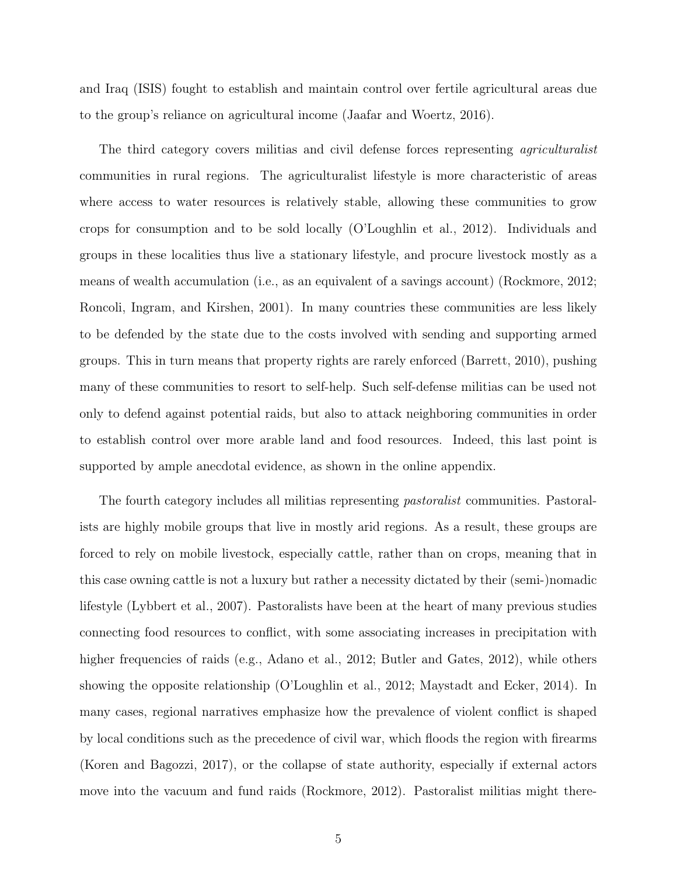and Iraq (ISIS) fought to establish and maintain control over fertile agricultural areas due to the group's reliance on agricultural income (Jaafar and Woertz, 2016).

The third category covers militias and civil defense forces representing *agriculturalist* communities in rural regions. The agriculturalist lifestyle is more characteristic of areas where access to water resources is relatively stable, allowing these communities to grow crops for consumption and to be sold locally (O'Loughlin et al., 2012). Individuals and groups in these localities thus live a stationary lifestyle, and procure livestock mostly as a means of wealth accumulation (i.e., as an equivalent of a savings account) (Rockmore, 2012; Roncoli, Ingram, and Kirshen, 2001). In many countries these communities are less likely to be defended by the state due to the costs involved with sending and supporting armed groups. This in turn means that property rights are rarely enforced (Barrett, 2010), pushing many of these communities to resort to self-help. Such self-defense militias can be used not only to defend against potential raids, but also to attack neighboring communities in order to establish control over more arable land and food resources. Indeed, this last point is supported by ample anecdotal evidence, as shown in the online appendix.

The fourth category includes all militias representing *pastoralist* communities. Pastoralists are highly mobile groups that live in mostly arid regions. As a result, these groups are forced to rely on mobile livestock, especially cattle, rather than on crops, meaning that in this case owning cattle is not a luxury but rather a necessity dictated by their (semi-)nomadic lifestyle (Lybbert et al., 2007). Pastoralists have been at the heart of many previous studies connecting food resources to conflict, with some associating increases in precipitation with higher frequencies of raids (e.g., Adano et al., 2012; Butler and Gates, 2012), while others showing the opposite relationship (O'Loughlin et al., 2012; Maystadt and Ecker, 2014). In many cases, regional narratives emphasize how the prevalence of violent conflict is shaped by local conditions such as the precedence of civil war, which floods the region with firearms (Koren and Bagozzi, 2017), or the collapse of state authority, especially if external actors move into the vacuum and fund raids (Rockmore, 2012). Pastoralist militias might there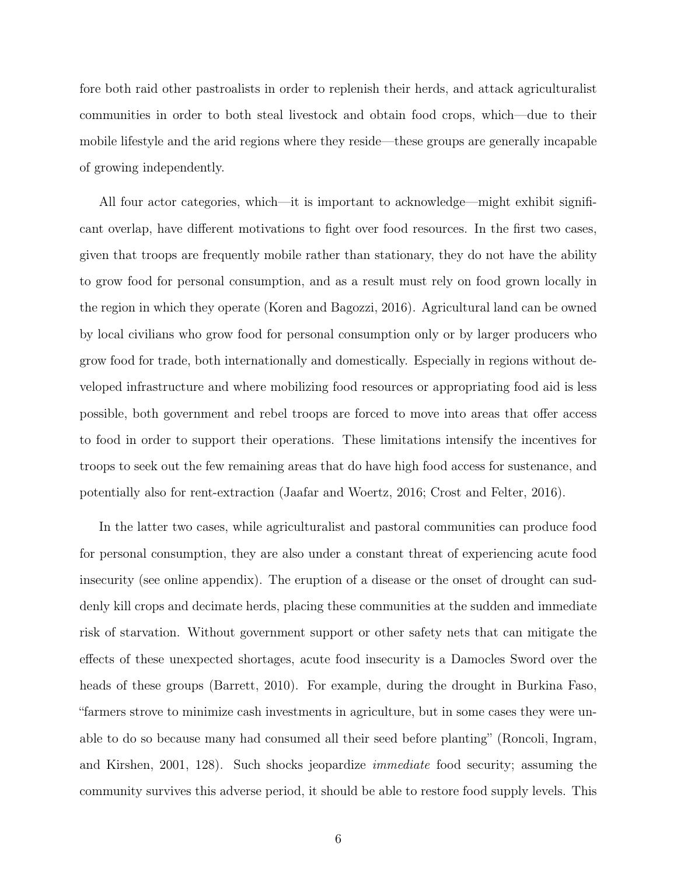fore both raid other pastroalists in order to replenish their herds, and attack agriculturalist communities in order to both steal livestock and obtain food crops, which—due to their mobile lifestyle and the arid regions where they reside—these groups are generally incapable of growing independently.

All four actor categories, which—it is important to acknowledge—might exhibit significant overlap, have different motivations to fight over food resources. In the first two cases, given that troops are frequently mobile rather than stationary, they do not have the ability to grow food for personal consumption, and as a result must rely on food grown locally in the region in which they operate (Koren and Bagozzi, 2016). Agricultural land can be owned by local civilians who grow food for personal consumption only or by larger producers who grow food for trade, both internationally and domestically. Especially in regions without developed infrastructure and where mobilizing food resources or appropriating food aid is less possible, both government and rebel troops are forced to move into areas that offer access to food in order to support their operations. These limitations intensify the incentives for troops to seek out the few remaining areas that do have high food access for sustenance, and potentially also for rent-extraction (Jaafar and Woertz, 2016; Crost and Felter, 2016).

In the latter two cases, while agriculturalist and pastoral communities can produce food for personal consumption, they are also under a constant threat of experiencing acute food insecurity (see online appendix). The eruption of a disease or the onset of drought can suddenly kill crops and decimate herds, placing these communities at the sudden and immediate risk of starvation. Without government support or other safety nets that can mitigate the effects of these unexpected shortages, acute food insecurity is a Damocles Sword over the heads of these groups (Barrett, 2010). For example, during the drought in Burkina Faso, "farmers strove to minimize cash investments in agriculture, but in some cases they were unable to do so because many had consumed all their seed before planting" (Roncoli, Ingram, and Kirshen, 2001, 128). Such shocks jeopardize immediate food security; assuming the community survives this adverse period, it should be able to restore food supply levels. This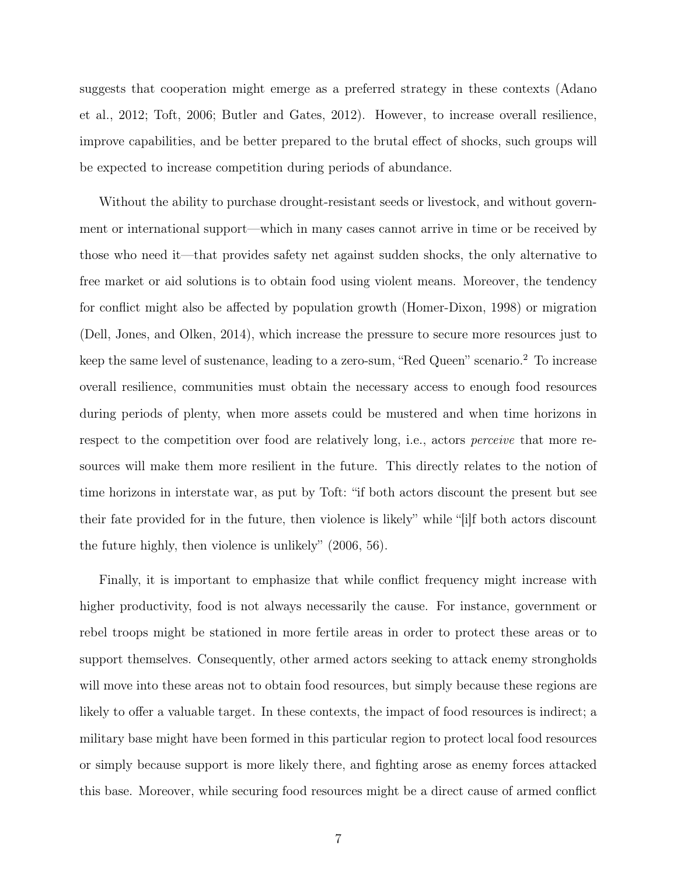suggests that cooperation might emerge as a preferred strategy in these contexts (Adano et al., 2012; Toft, 2006; Butler and Gates, 2012). However, to increase overall resilience, improve capabilities, and be better prepared to the brutal effect of shocks, such groups will be expected to increase competition during periods of abundance.

Without the ability to purchase drought-resistant seeds or livestock, and without government or international support—which in many cases cannot arrive in time or be received by those who need it—that provides safety net against sudden shocks, the only alternative to free market or aid solutions is to obtain food using violent means. Moreover, the tendency for conflict might also be affected by population growth (Homer-Dixon, 1998) or migration (Dell, Jones, and Olken, 2014), which increase the pressure to secure more resources just to keep the same level of sustenance, leading to a zero-sum, "Red Queen" scenario.<sup>2</sup> To increase overall resilience, communities must obtain the necessary access to enough food resources during periods of plenty, when more assets could be mustered and when time horizons in respect to the competition over food are relatively long, i.e., actors *perceive* that more resources will make them more resilient in the future. This directly relates to the notion of time horizons in interstate war, as put by Toft: "if both actors discount the present but see their fate provided for in the future, then violence is likely" while "[i]f both actors discount the future highly, then violence is unlikely" (2006, 56).

Finally, it is important to emphasize that while conflict frequency might increase with higher productivity, food is not always necessarily the cause. For instance, government or rebel troops might be stationed in more fertile areas in order to protect these areas or to support themselves. Consequently, other armed actors seeking to attack enemy strongholds will move into these areas not to obtain food resources, but simply because these regions are likely to offer a valuable target. In these contexts, the impact of food resources is indirect; a military base might have been formed in this particular region to protect local food resources or simply because support is more likely there, and fighting arose as enemy forces attacked this base. Moreover, while securing food resources might be a direct cause of armed conflict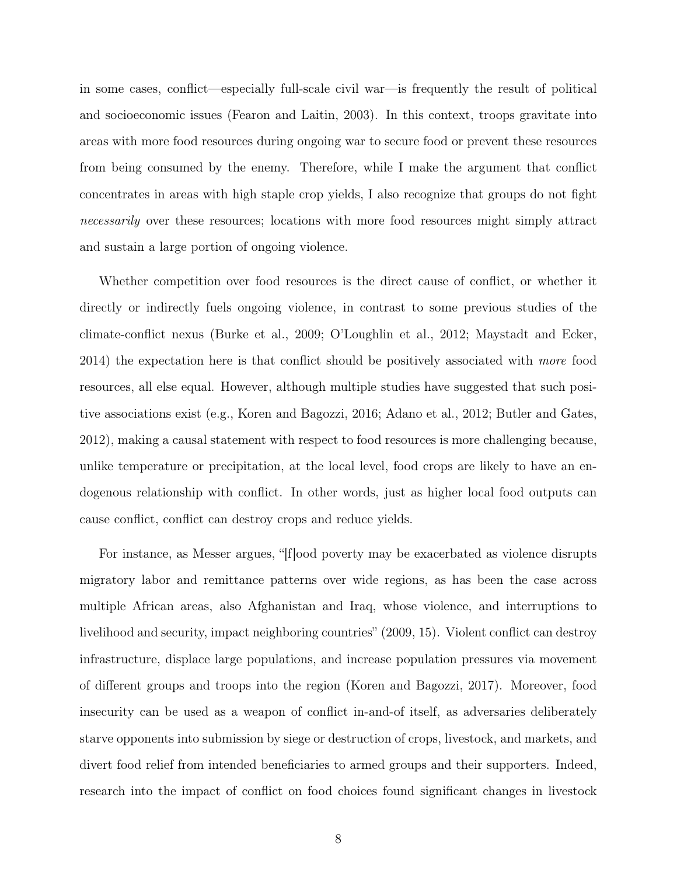in some cases, conflict—especially full-scale civil war—is frequently the result of political and socioeconomic issues (Fearon and Laitin, 2003). In this context, troops gravitate into areas with more food resources during ongoing war to secure food or prevent these resources from being consumed by the enemy. Therefore, while I make the argument that conflict concentrates in areas with high staple crop yields, I also recognize that groups do not fight necessarily over these resources; locations with more food resources might simply attract and sustain a large portion of ongoing violence.

Whether competition over food resources is the direct cause of conflict, or whether it directly or indirectly fuels ongoing violence, in contrast to some previous studies of the climate-conflict nexus (Burke et al., 2009; O'Loughlin et al., 2012; Maystadt and Ecker, 2014) the expectation here is that conflict should be positively associated with more food resources, all else equal. However, although multiple studies have suggested that such positive associations exist (e.g., Koren and Bagozzi, 2016; Adano et al., 2012; Butler and Gates, 2012), making a causal statement with respect to food resources is more challenging because, unlike temperature or precipitation, at the local level, food crops are likely to have an endogenous relationship with conflict. In other words, just as higher local food outputs can cause conflict, conflict can destroy crops and reduce yields.

For instance, as Messer argues, "[f]ood poverty may be exacerbated as violence disrupts migratory labor and remittance patterns over wide regions, as has been the case across multiple African areas, also Afghanistan and Iraq, whose violence, and interruptions to livelihood and security, impact neighboring countries" (2009, 15). Violent conflict can destroy infrastructure, displace large populations, and increase population pressures via movement of different groups and troops into the region (Koren and Bagozzi, 2017). Moreover, food insecurity can be used as a weapon of conflict in-and-of itself, as adversaries deliberately starve opponents into submission by siege or destruction of crops, livestock, and markets, and divert food relief from intended beneficiaries to armed groups and their supporters. Indeed, research into the impact of conflict on food choices found significant changes in livestock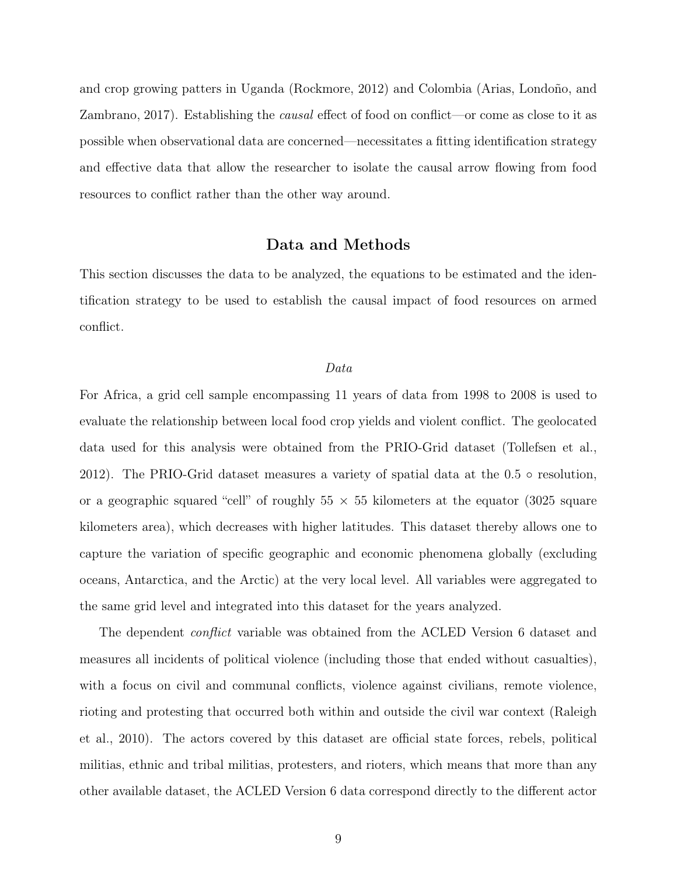and crop growing patters in Uganda (Rockmore, 2012) and Colombia (Arias, Londoño, and Zambrano, 2017). Establishing the causal effect of food on conflict—or come as close to it as possible when observational data are concerned—necessitates a fitting identification strategy and effective data that allow the researcher to isolate the causal arrow flowing from food resources to conflict rather than the other way around.

## Data and Methods

This section discusses the data to be analyzed, the equations to be estimated and the identification strategy to be used to establish the causal impact of food resources on armed conflict.

#### Data

For Africa, a grid cell sample encompassing 11 years of data from 1998 to 2008 is used to evaluate the relationship between local food crop yields and violent conflict. The geolocated data used for this analysis were obtained from the PRIO-Grid dataset (Tollefsen et al., 2012). The PRIO-Grid dataset measures a variety of spatial data at the  $0.5 \circ$  resolution. or a geographic squared "cell" of roughly  $55 \times 55$  kilometers at the equator (3025 square kilometers area), which decreases with higher latitudes. This dataset thereby allows one to capture the variation of specific geographic and economic phenomena globally (excluding oceans, Antarctica, and the Arctic) at the very local level. All variables were aggregated to the same grid level and integrated into this dataset for the years analyzed.

The dependent conflict variable was obtained from the ACLED Version 6 dataset and measures all incidents of political violence (including those that ended without casualties), with a focus on civil and communal conflicts, violence against civilians, remote violence, rioting and protesting that occurred both within and outside the civil war context (Raleigh et al., 2010). The actors covered by this dataset are official state forces, rebels, political militias, ethnic and tribal militias, protesters, and rioters, which means that more than any other available dataset, the ACLED Version 6 data correspond directly to the different actor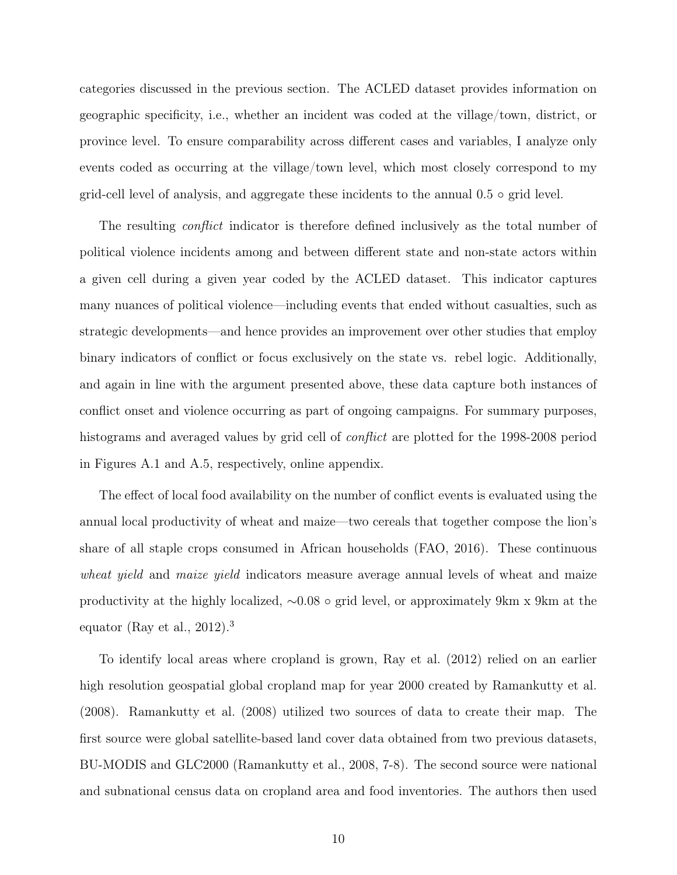categories discussed in the previous section. The ACLED dataset provides information on geographic specificity, i.e., whether an incident was coded at the village/town, district, or province level. To ensure comparability across different cases and variables, I analyze only events coded as occurring at the village/town level, which most closely correspond to my grid-cell level of analysis, and aggregate these incidents to the annual 0.5 ° grid level.

The resulting *conflict* indicator is therefore defined inclusively as the total number of political violence incidents among and between different state and non-state actors within a given cell during a given year coded by the ACLED dataset. This indicator captures many nuances of political violence—including events that ended without casualties, such as strategic developments—and hence provides an improvement over other studies that employ binary indicators of conflict or focus exclusively on the state vs. rebel logic. Additionally, and again in line with the argument presented above, these data capture both instances of conflict onset and violence occurring as part of ongoing campaigns. For summary purposes, histograms and averaged values by grid cell of *conflict* are plotted for the 1998-2008 period in Figures A.1 and A.5, respectively, online appendix.

The effect of local food availability on the number of conflict events is evaluated using the annual local productivity of wheat and maize—two cereals that together compose the lion's share of all staple crops consumed in African households (FAO, 2016). These continuous wheat yield and maize yield indicators measure average annual levels of wheat and maize productivity at the highly localized, ∼0.08 ◦ grid level, or approximately 9km x 9km at the equator (Ray et al.,  $2012$ ).<sup>3</sup>

To identify local areas where cropland is grown, Ray et al. (2012) relied on an earlier high resolution geospatial global cropland map for year 2000 created by Ramankutty et al. (2008). Ramankutty et al. (2008) utilized two sources of data to create their map. The first source were global satellite-based land cover data obtained from two previous datasets, BU-MODIS and GLC2000 (Ramankutty et al., 2008, 7-8). The second source were national and subnational census data on cropland area and food inventories. The authors then used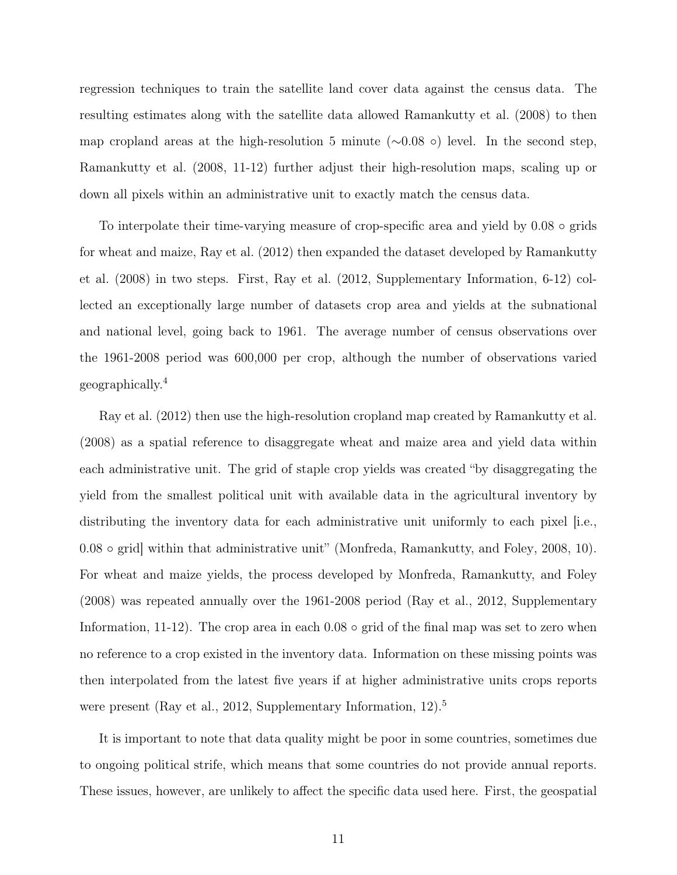regression techniques to train the satellite land cover data against the census data. The resulting estimates along with the satellite data allowed Ramankutty et al. (2008) to then map cropland areas at the high-resolution 5 minute ( $\sim$ 0.08 ∘) level. In the second step, Ramankutty et al. (2008, 11-12) further adjust their high-resolution maps, scaling up or down all pixels within an administrative unit to exactly match the census data.

To interpolate their time-varying measure of crop-specific area and yield by  $0.08 \circ$  grids for wheat and maize, Ray et al. (2012) then expanded the dataset developed by Ramankutty et al. (2008) in two steps. First, Ray et al. (2012, Supplementary Information, 6-12) collected an exceptionally large number of datasets crop area and yields at the subnational and national level, going back to 1961. The average number of census observations over the 1961-2008 period was 600,000 per crop, although the number of observations varied geographically.<sup>4</sup>

Ray et al. (2012) then use the high-resolution cropland map created by Ramankutty et al. (2008) as a spatial reference to disaggregate wheat and maize area and yield data within each administrative unit. The grid of staple crop yields was created "by disaggregating the yield from the smallest political unit with available data in the agricultural inventory by distributing the inventory data for each administrative unit uniformly to each pixel [i.e.,  $0.08 \circ \text{grid}$  within that administrative unit" (Monfreda, Ramankutty, and Foley, 2008, 10). For wheat and maize yields, the process developed by Monfreda, Ramankutty, and Foley (2008) was repeated annually over the 1961-2008 period (Ray et al., 2012, Supplementary Information, 11-12). The crop area in each  $0.08 \circ \text{grid}$  of the final map was set to zero when no reference to a crop existed in the inventory data. Information on these missing points was then interpolated from the latest five years if at higher administrative units crops reports were present (Ray et al., 2012, Supplementary Information, 12).<sup>5</sup>

It is important to note that data quality might be poor in some countries, sometimes due to ongoing political strife, which means that some countries do not provide annual reports. These issues, however, are unlikely to affect the specific data used here. First, the geospatial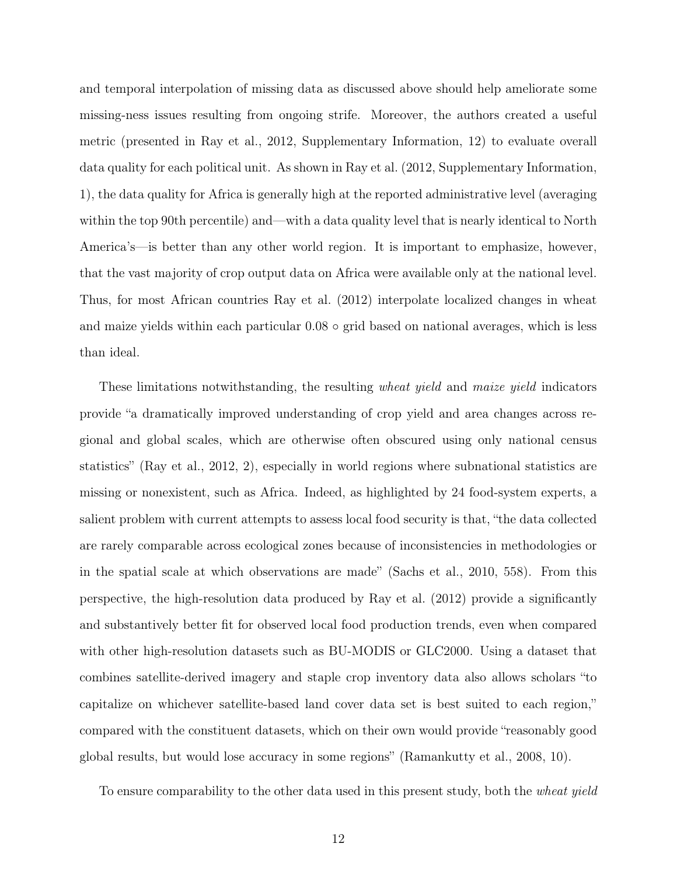and temporal interpolation of missing data as discussed above should help ameliorate some missing-ness issues resulting from ongoing strife. Moreover, the authors created a useful metric (presented in Ray et al., 2012, Supplementary Information, 12) to evaluate overall data quality for each political unit. As shown in Ray et al. (2012, Supplementary Information, 1), the data quality for Africa is generally high at the reported administrative level (averaging within the top 90th percentile) and—with a data quality level that is nearly identical to North America's—is better than any other world region. It is important to emphasize, however, that the vast majority of crop output data on Africa were available only at the national level. Thus, for most African countries Ray et al. (2012) interpolate localized changes in wheat and maize yields within each particular  $0.08 \circ$  grid based on national averages, which is less than ideal.

These limitations notwithstanding, the resulting *wheat yield* and *maize yield* indicators provide "a dramatically improved understanding of crop yield and area changes across regional and global scales, which are otherwise often obscured using only national census statistics" (Ray et al., 2012, 2), especially in world regions where subnational statistics are missing or nonexistent, such as Africa. Indeed, as highlighted by 24 food-system experts, a salient problem with current attempts to assess local food security is that, "the data collected are rarely comparable across ecological zones because of inconsistencies in methodologies or in the spatial scale at which observations are made" (Sachs et al., 2010, 558). From this perspective, the high-resolution data produced by Ray et al. (2012) provide a significantly and substantively better fit for observed local food production trends, even when compared with other high-resolution datasets such as BU-MODIS or GLC2000. Using a dataset that combines satellite-derived imagery and staple crop inventory data also allows scholars "to capitalize on whichever satellite-based land cover data set is best suited to each region," compared with the constituent datasets, which on their own would provide "reasonably good global results, but would lose accuracy in some regions" (Ramankutty et al., 2008, 10).

To ensure comparability to the other data used in this present study, both the *wheat yield*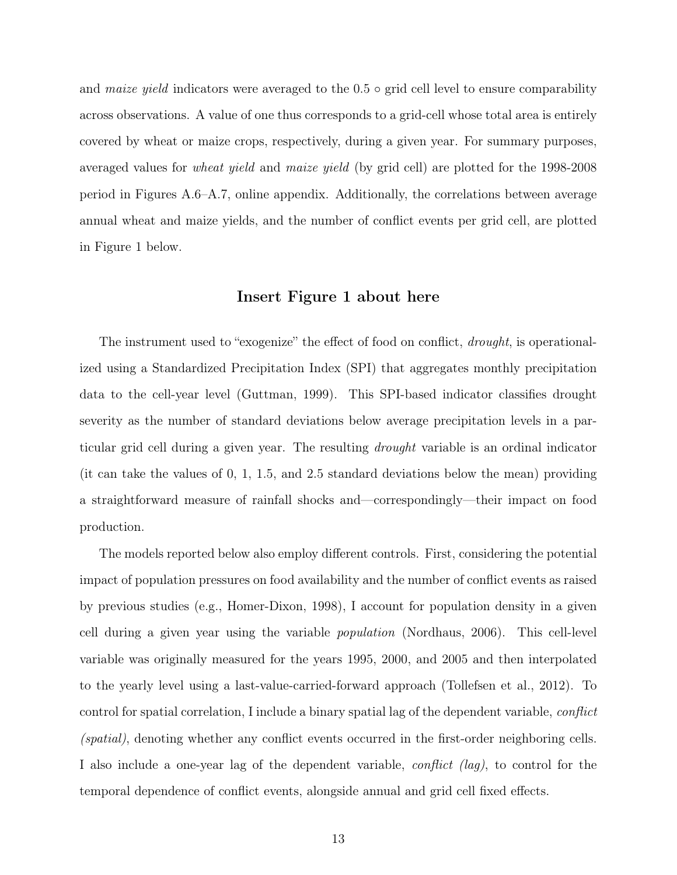and maize yield indicators were averaged to the  $0.5 \circ$  grid cell level to ensure comparability across observations. A value of one thus corresponds to a grid-cell whose total area is entirely covered by wheat or maize crops, respectively, during a given year. For summary purposes, averaged values for wheat yield and maize yield (by grid cell) are plotted for the 1998-2008 period in Figures A.6–A.7, online appendix. Additionally, the correlations between average annual wheat and maize yields, and the number of conflict events per grid cell, are plotted in Figure 1 below.

## Insert Figure 1 about here

The instrument used to "exogenize" the effect of food on conflict, *drought*, is operationalized using a Standardized Precipitation Index (SPI) that aggregates monthly precipitation data to the cell-year level (Guttman, 1999). This SPI-based indicator classifies drought severity as the number of standard deviations below average precipitation levels in a particular grid cell during a given year. The resulting drought variable is an ordinal indicator (it can take the values of 0, 1, 1.5, and 2.5 standard deviations below the mean) providing a straightforward measure of rainfall shocks and—correspondingly—their impact on food production.

The models reported below also employ different controls. First, considering the potential impact of population pressures on food availability and the number of conflict events as raised by previous studies (e.g., Homer-Dixon, 1998), I account for population density in a given cell during a given year using the variable population (Nordhaus, 2006). This cell-level variable was originally measured for the years 1995, 2000, and 2005 and then interpolated to the yearly level using a last-value-carried-forward approach (Tollefsen et al., 2012). To control for spatial correlation, I include a binary spatial lag of the dependent variable, conflict (spatial), denoting whether any conflict events occurred in the first-order neighboring cells. I also include a one-year lag of the dependent variable, conflict (lag), to control for the temporal dependence of conflict events, alongside annual and grid cell fixed effects.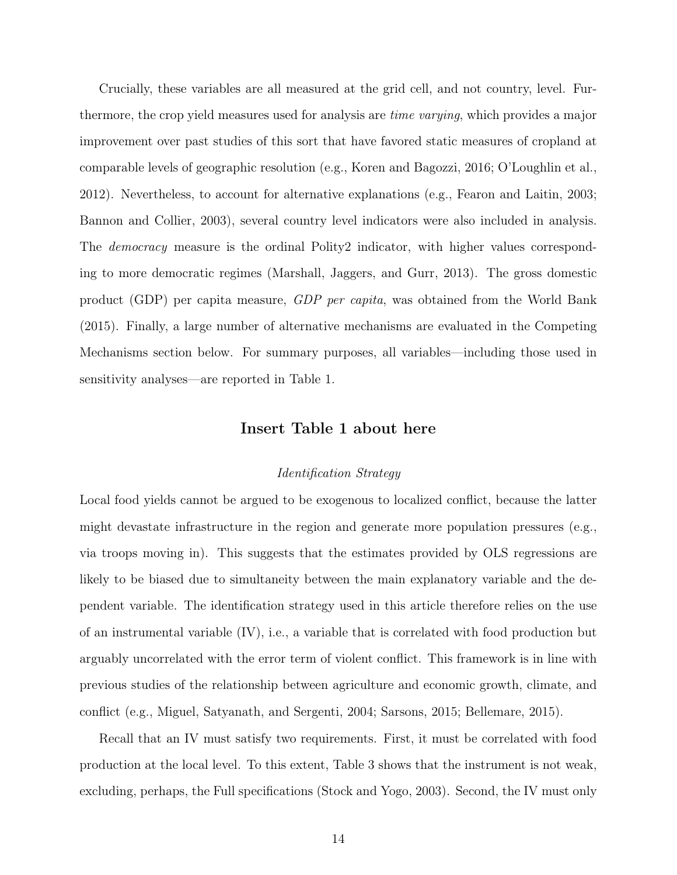Crucially, these variables are all measured at the grid cell, and not country, level. Furthermore, the crop yield measures used for analysis are time varying, which provides a major improvement over past studies of this sort that have favored static measures of cropland at comparable levels of geographic resolution (e.g., Koren and Bagozzi, 2016; O'Loughlin et al., 2012). Nevertheless, to account for alternative explanations (e.g., Fearon and Laitin, 2003; Bannon and Collier, 2003), several country level indicators were also included in analysis. The *democracy* measure is the ordinal Polity2 indicator, with higher values corresponding to more democratic regimes (Marshall, Jaggers, and Gurr, 2013). The gross domestic product (GDP) per capita measure, GDP per capita, was obtained from the World Bank (2015). Finally, a large number of alternative mechanisms are evaluated in the Competing Mechanisms section below. For summary purposes, all variables—including those used in sensitivity analyses—are reported in Table 1.

#### Insert Table 1 about here

#### Identification Strategy

Local food yields cannot be argued to be exogenous to localized conflict, because the latter might devastate infrastructure in the region and generate more population pressures (e.g., via troops moving in). This suggests that the estimates provided by OLS regressions are likely to be biased due to simultaneity between the main explanatory variable and the dependent variable. The identification strategy used in this article therefore relies on the use of an instrumental variable (IV), i.e., a variable that is correlated with food production but arguably uncorrelated with the error term of violent conflict. This framework is in line with previous studies of the relationship between agriculture and economic growth, climate, and conflict (e.g., Miguel, Satyanath, and Sergenti, 2004; Sarsons, 2015; Bellemare, 2015).

Recall that an IV must satisfy two requirements. First, it must be correlated with food production at the local level. To this extent, Table 3 shows that the instrument is not weak, excluding, perhaps, the Full specifications (Stock and Yogo, 2003). Second, the IV must only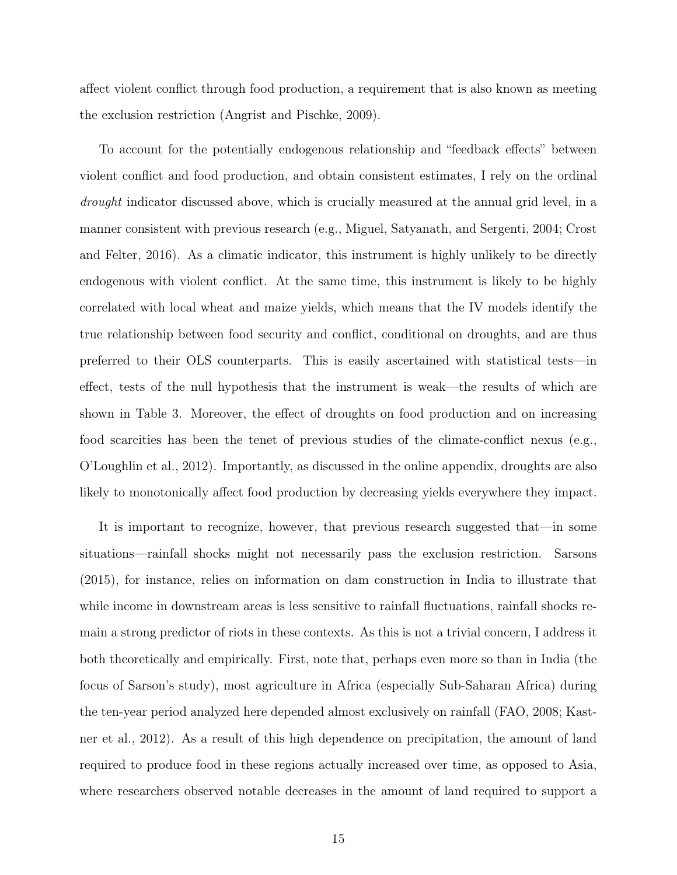affect violent conflict through food production, a requirement that is also known as meeting the exclusion restriction (Angrist and Pischke, 2009).

To account for the potentially endogenous relationship and "feedback effects" between violent conflict and food production, and obtain consistent estimates, I rely on the ordinal drought indicator discussed above, which is crucially measured at the annual grid level, in a manner consistent with previous research (e.g., Miguel, Satyanath, and Sergenti, 2004; Crost and Felter, 2016). As a climatic indicator, this instrument is highly unlikely to be directly endogenous with violent conflict. At the same time, this instrument is likely to be highly correlated with local wheat and maize yields, which means that the IV models identify the true relationship between food security and conflict, conditional on droughts, and are thus preferred to their OLS counterparts. This is easily ascertained with statistical tests—in effect, tests of the null hypothesis that the instrument is weak—the results of which are shown in Table 3. Moreover, the effect of droughts on food production and on increasing food scarcities has been the tenet of previous studies of the climate-conflict nexus (e.g., O'Loughlin et al., 2012). Importantly, as discussed in the online appendix, droughts are also likely to monotonically affect food production by decreasing yields everywhere they impact.

It is important to recognize, however, that previous research suggested that—in some situations—rainfall shocks might not necessarily pass the exclusion restriction. Sarsons (2015), for instance, relies on information on dam construction in India to illustrate that while income in downstream areas is less sensitive to rainfall fluctuations, rainfall shocks remain a strong predictor of riots in these contexts. As this is not a trivial concern, I address it both theoretically and empirically. First, note that, perhaps even more so than in India (the focus of Sarson's study), most agriculture in Africa (especially Sub-Saharan Africa) during the ten-year period analyzed here depended almost exclusively on rainfall (FAO, 2008; Kastner et al., 2012). As a result of this high dependence on precipitation, the amount of land required to produce food in these regions actually increased over time, as opposed to Asia, where researchers observed notable decreases in the amount of land required to support a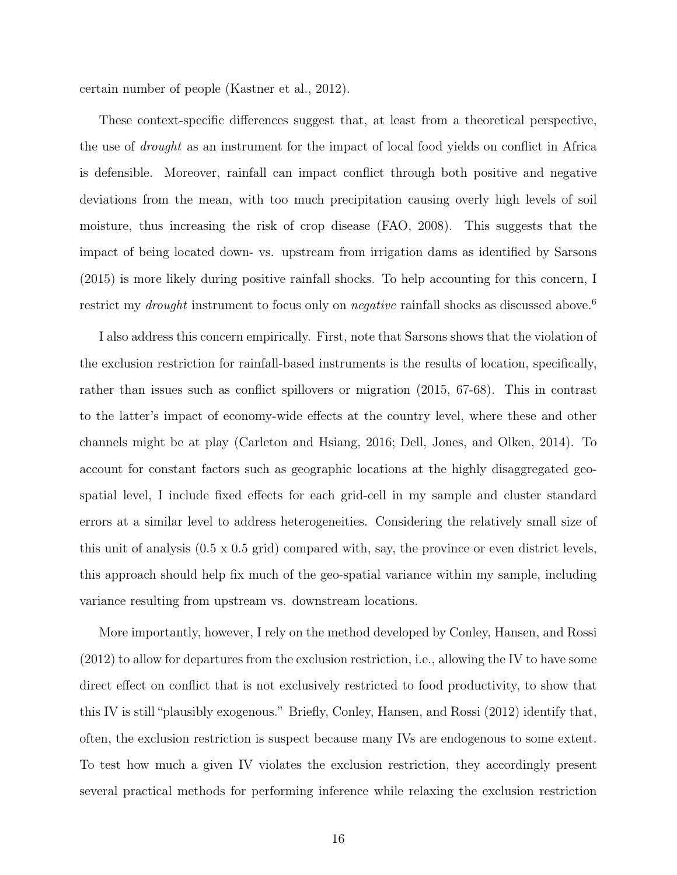certain number of people (Kastner et al., 2012).

These context-specific differences suggest that, at least from a theoretical perspective, the use of *drought* as an instrument for the impact of local food yields on conflict in Africa is defensible. Moreover, rainfall can impact conflict through both positive and negative deviations from the mean, with too much precipitation causing overly high levels of soil moisture, thus increasing the risk of crop disease (FAO, 2008). This suggests that the impact of being located down- vs. upstream from irrigation dams as identified by Sarsons (2015) is more likely during positive rainfall shocks. To help accounting for this concern, I restrict my *drought* instrument to focus only on *negative* rainfall shocks as discussed above.<sup>6</sup>

I also address this concern empirically. First, note that Sarsons shows that the violation of the exclusion restriction for rainfall-based instruments is the results of location, specifically, rather than issues such as conflict spillovers or migration (2015, 67-68). This in contrast to the latter's impact of economy-wide effects at the country level, where these and other channels might be at play (Carleton and Hsiang, 2016; Dell, Jones, and Olken, 2014). To account for constant factors such as geographic locations at the highly disaggregated geospatial level, I include fixed effects for each grid-cell in my sample and cluster standard errors at a similar level to address heterogeneities. Considering the relatively small size of this unit of analysis (0.5 x 0.5 grid) compared with, say, the province or even district levels, this approach should help fix much of the geo-spatial variance within my sample, including variance resulting from upstream vs. downstream locations.

More importantly, however, I rely on the method developed by Conley, Hansen, and Rossi (2012) to allow for departures from the exclusion restriction, i.e., allowing the IV to have some direct effect on conflict that is not exclusively restricted to food productivity, to show that this IV is still "plausibly exogenous." Briefly, Conley, Hansen, and Rossi (2012) identify that, often, the exclusion restriction is suspect because many IVs are endogenous to some extent. To test how much a given IV violates the exclusion restriction, they accordingly present several practical methods for performing inference while relaxing the exclusion restriction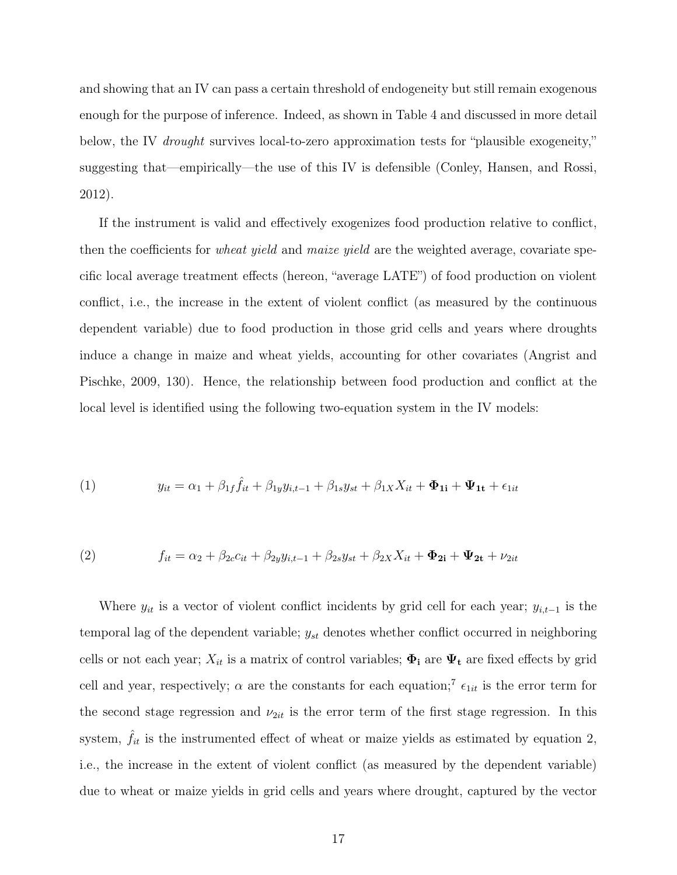and showing that an IV can pass a certain threshold of endogeneity but still remain exogenous enough for the purpose of inference. Indeed, as shown in Table 4 and discussed in more detail below, the IV drought survives local-to-zero approximation tests for "plausible exogeneity," suggesting that—empirically—the use of this IV is defensible (Conley, Hansen, and Rossi, 2012).

If the instrument is valid and effectively exogenizes food production relative to conflict, then the coefficients for *wheat yield* and *maize yield* are the weighted average, covariate specific local average treatment effects (hereon, "average LATE") of food production on violent conflict, i.e., the increase in the extent of violent conflict (as measured by the continuous dependent variable) due to food production in those grid cells and years where droughts induce a change in maize and wheat yields, accounting for other covariates (Angrist and Pischke, 2009, 130). Hence, the relationship between food production and conflict at the local level is identified using the following two-equation system in the IV models:

(1) 
$$
y_{it} = \alpha_1 + \beta_{1f} \hat{f}_{it} + \beta_{1y} y_{i,t-1} + \beta_{1s} y_{st} + \beta_{1X} X_{it} + \Phi_{1i} + \Psi_{1t} + \epsilon_{1it}
$$

(2) 
$$
f_{it} = \alpha_2 + \beta_{2c}c_{it} + \beta_{2y}y_{i,t-1} + \beta_{2s}y_{st} + \beta_{2x}X_{it} + \mathbf{\Phi_{2i}} + \mathbf{\Psi_{2t}} + \nu_{2it}
$$

Where  $y_{it}$  is a vector of violent conflict incidents by grid cell for each year;  $y_{i,t-1}$  is the temporal lag of the dependent variable;  $y_{st}$  denotes whether conflict occurred in neighboring cells or not each year;  $X_{it}$  is a matrix of control variables;  $\Phi_i$  are  $\Psi_t$  are fixed effects by grid cell and year, respectively;  $\alpha$  are the constants for each equation;<sup>7</sup>  $\epsilon_{1it}$  is the error term for the second stage regression and  $\nu_{2it}$  is the error term of the first stage regression. In this system,  $f_{it}$  is the instrumented effect of wheat or maize yields as estimated by equation 2, i.e., the increase in the extent of violent conflict (as measured by the dependent variable) due to wheat or maize yields in grid cells and years where drought, captured by the vector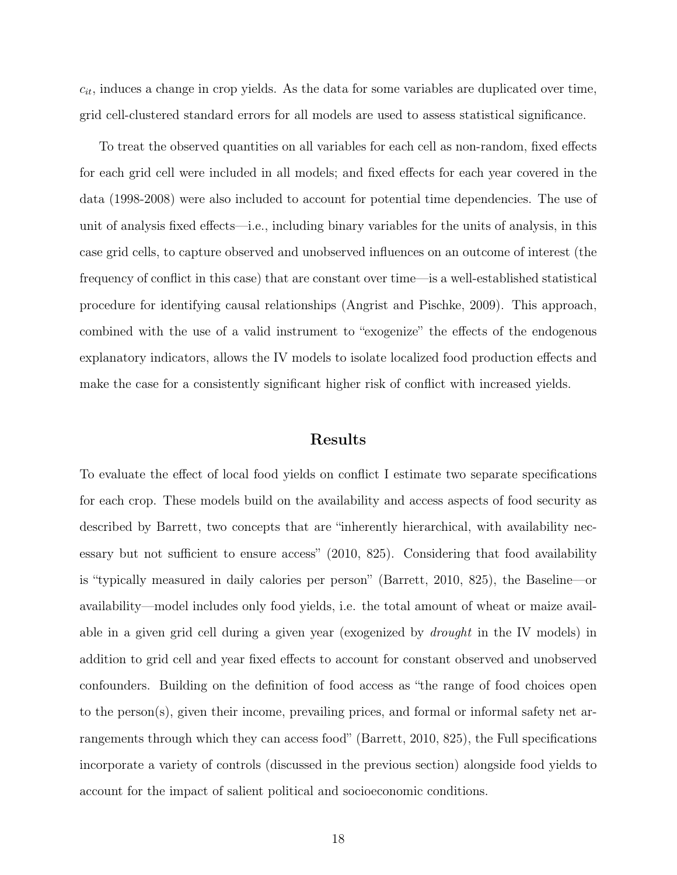$c_{it}$ , induces a change in crop yields. As the data for some variables are duplicated over time, grid cell-clustered standard errors for all models are used to assess statistical significance.

To treat the observed quantities on all variables for each cell as non-random, fixed effects for each grid cell were included in all models; and fixed effects for each year covered in the data (1998-2008) were also included to account for potential time dependencies. The use of unit of analysis fixed effects—i.e., including binary variables for the units of analysis, in this case grid cells, to capture observed and unobserved influences on an outcome of interest (the frequency of conflict in this case) that are constant over time—is a well-established statistical procedure for identifying causal relationships (Angrist and Pischke, 2009). This approach, combined with the use of a valid instrument to "exogenize" the effects of the endogenous explanatory indicators, allows the IV models to isolate localized food production effects and make the case for a consistently significant higher risk of conflict with increased yields.

## Results

To evaluate the effect of local food yields on conflict I estimate two separate specifications for each crop. These models build on the availability and access aspects of food security as described by Barrett, two concepts that are "inherently hierarchical, with availability necessary but not sufficient to ensure access" (2010, 825). Considering that food availability is "typically measured in daily calories per person" (Barrett, 2010, 825), the Baseline—or availability—model includes only food yields, i.e. the total amount of wheat or maize available in a given grid cell during a given year (exogenized by drought in the IV models) in addition to grid cell and year fixed effects to account for constant observed and unobserved confounders. Building on the definition of food access as "the range of food choices open to the person(s), given their income, prevailing prices, and formal or informal safety net arrangements through which they can access food" (Barrett, 2010, 825), the Full specifications incorporate a variety of controls (discussed in the previous section) alongside food yields to account for the impact of salient political and socioeconomic conditions.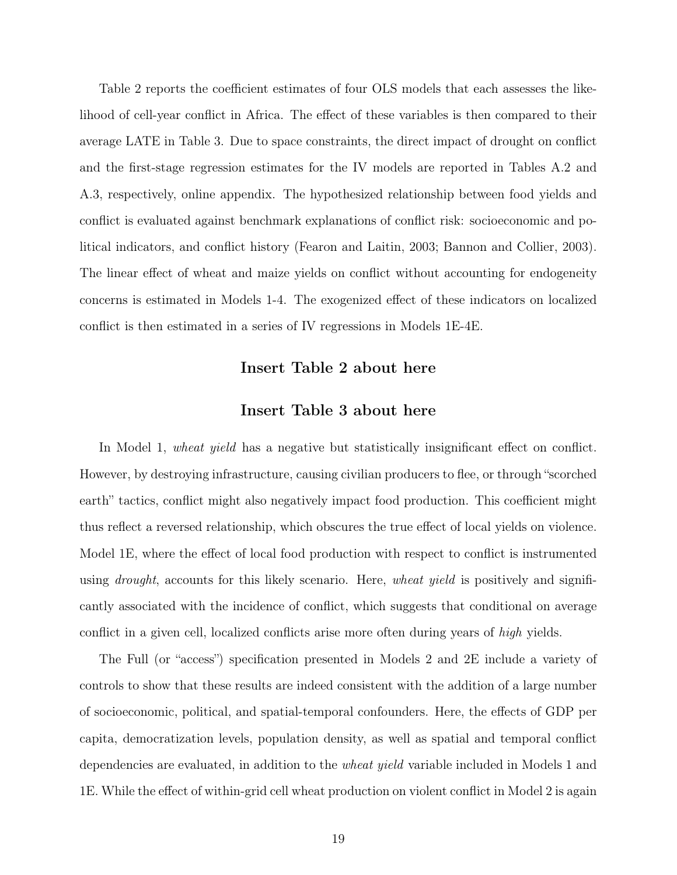Table 2 reports the coefficient estimates of four OLS models that each assesses the likelihood of cell-year conflict in Africa. The effect of these variables is then compared to their average LATE in Table 3. Due to space constraints, the direct impact of drought on conflict and the first-stage regression estimates for the IV models are reported in Tables A.2 and A.3, respectively, online appendix. The hypothesized relationship between food yields and conflict is evaluated against benchmark explanations of conflict risk: socioeconomic and political indicators, and conflict history (Fearon and Laitin, 2003; Bannon and Collier, 2003). The linear effect of wheat and maize yields on conflict without accounting for endogeneity concerns is estimated in Models 1-4. The exogenized effect of these indicators on localized conflict is then estimated in a series of IV regressions in Models 1E-4E.

## Insert Table 2 about here

## Insert Table 3 about here

In Model 1, wheat yield has a negative but statistically insignificant effect on conflict. However, by destroying infrastructure, causing civilian producers to flee, or through "scorched earth" tactics, conflict might also negatively impact food production. This coefficient might thus reflect a reversed relationship, which obscures the true effect of local yields on violence. Model 1E, where the effect of local food production with respect to conflict is instrumented using *drought*, accounts for this likely scenario. Here, *wheat yield* is positively and significantly associated with the incidence of conflict, which suggests that conditional on average conflict in a given cell, localized conflicts arise more often during years of high yields.

The Full (or "access") specification presented in Models 2 and 2E include a variety of controls to show that these results are indeed consistent with the addition of a large number of socioeconomic, political, and spatial-temporal confounders. Here, the effects of GDP per capita, democratization levels, population density, as well as spatial and temporal conflict dependencies are evaluated, in addition to the *wheat yield* variable included in Models 1 and 1E. While the effect of within-grid cell wheat production on violent conflict in Model 2 is again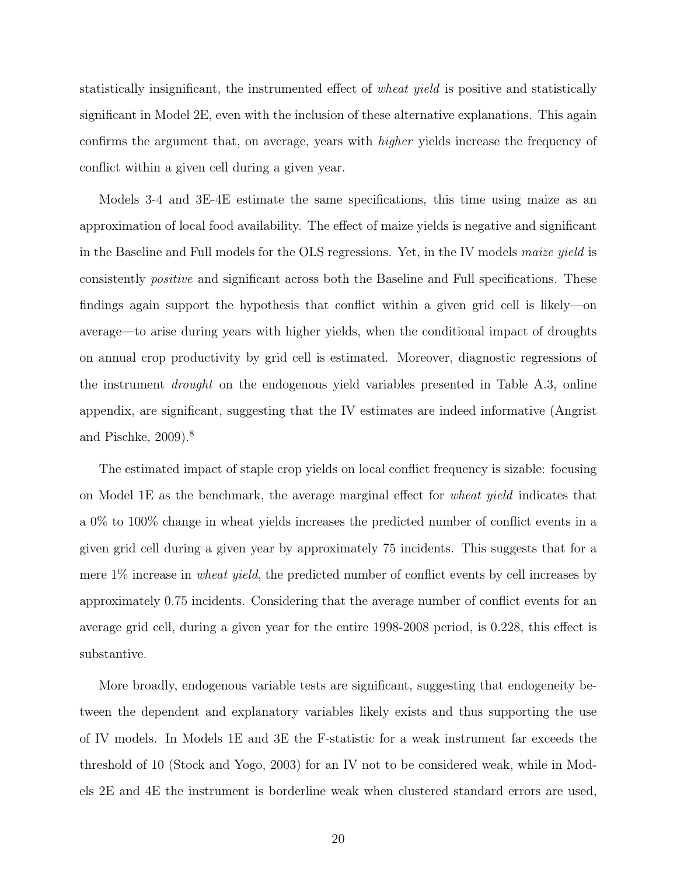statistically insignificant, the instrumented effect of wheat yield is positive and statistically significant in Model 2E, even with the inclusion of these alternative explanations. This again confirms the argument that, on average, years with higher yields increase the frequency of conflict within a given cell during a given year.

Models 3-4 and 3E-4E estimate the same specifications, this time using maize as an approximation of local food availability. The effect of maize yields is negative and significant in the Baseline and Full models for the OLS regressions. Yet, in the IV models maize yield is consistently positive and significant across both the Baseline and Full specifications. These findings again support the hypothesis that conflict within a given grid cell is likely—on average—to arise during years with higher yields, when the conditional impact of droughts on annual crop productivity by grid cell is estimated. Moreover, diagnostic regressions of the instrument *drought* on the endogenous yield variables presented in Table A.3, online appendix, are significant, suggesting that the IV estimates are indeed informative (Angrist and Pischke, 2009).<sup>8</sup>

The estimated impact of staple crop yields on local conflict frequency is sizable: focusing on Model 1E as the benchmark, the average marginal effect for *wheat yield* indicates that a 0% to 100% change in wheat yields increases the predicted number of conflict events in a given grid cell during a given year by approximately 75 incidents. This suggests that for a mere 1% increase in *wheat yield*, the predicted number of conflict events by cell increases by approximately 0.75 incidents. Considering that the average number of conflict events for an average grid cell, during a given year for the entire 1998-2008 period, is 0.228, this effect is substantive.

More broadly, endogenous variable tests are significant, suggesting that endogeneity between the dependent and explanatory variables likely exists and thus supporting the use of IV models. In Models 1E and 3E the F-statistic for a weak instrument far exceeds the threshold of 10 (Stock and Yogo, 2003) for an IV not to be considered weak, while in Models 2E and 4E the instrument is borderline weak when clustered standard errors are used,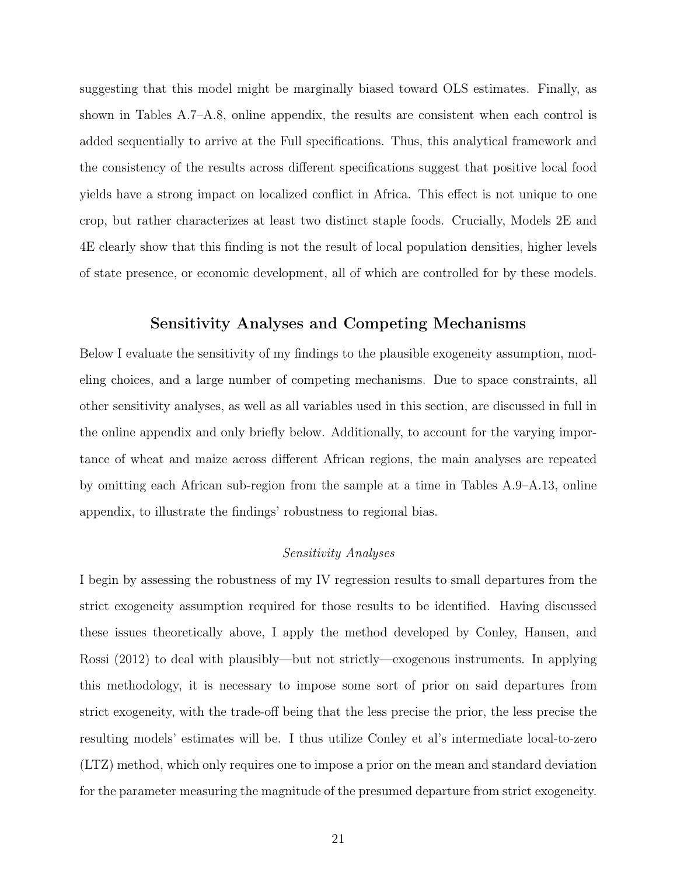suggesting that this model might be marginally biased toward OLS estimates. Finally, as shown in Tables A.7–A.8, online appendix, the results are consistent when each control is added sequentially to arrive at the Full specifications. Thus, this analytical framework and the consistency of the results across different specifications suggest that positive local food yields have a strong impact on localized conflict in Africa. This effect is not unique to one crop, but rather characterizes at least two distinct staple foods. Crucially, Models 2E and 4E clearly show that this finding is not the result of local population densities, higher levels of state presence, or economic development, all of which are controlled for by these models.

## Sensitivity Analyses and Competing Mechanisms

Below I evaluate the sensitivity of my findings to the plausible exogeneity assumption, modeling choices, and a large number of competing mechanisms. Due to space constraints, all other sensitivity analyses, as well as all variables used in this section, are discussed in full in the online appendix and only briefly below. Additionally, to account for the varying importance of wheat and maize across different African regions, the main analyses are repeated by omitting each African sub-region from the sample at a time in Tables A.9–A.13, online appendix, to illustrate the findings' robustness to regional bias.

#### Sensitivity Analyses

I begin by assessing the robustness of my IV regression results to small departures from the strict exogeneity assumption required for those results to be identified. Having discussed these issues theoretically above, I apply the method developed by Conley, Hansen, and Rossi (2012) to deal with plausibly—but not strictly—exogenous instruments. In applying this methodology, it is necessary to impose some sort of prior on said departures from strict exogeneity, with the trade-off being that the less precise the prior, the less precise the resulting models' estimates will be. I thus utilize Conley et al's intermediate local-to-zero (LTZ) method, which only requires one to impose a prior on the mean and standard deviation for the parameter measuring the magnitude of the presumed departure from strict exogeneity.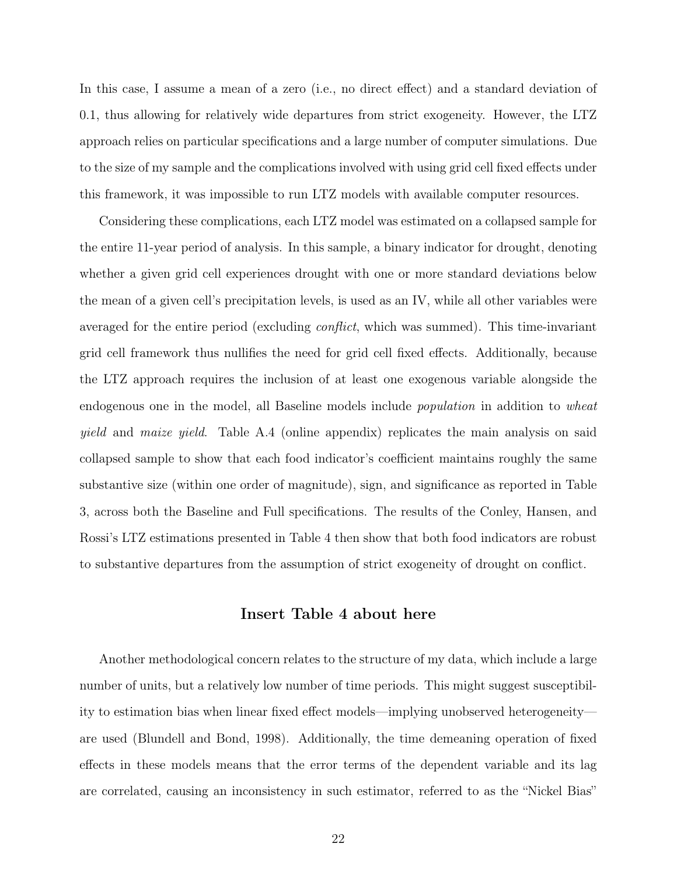In this case, I assume a mean of a zero (i.e., no direct effect) and a standard deviation of 0.1, thus allowing for relatively wide departures from strict exogeneity. However, the LTZ approach relies on particular specifications and a large number of computer simulations. Due to the size of my sample and the complications involved with using grid cell fixed effects under this framework, it was impossible to run LTZ models with available computer resources.

Considering these complications, each LTZ model was estimated on a collapsed sample for the entire 11-year period of analysis. In this sample, a binary indicator for drought, denoting whether a given grid cell experiences drought with one or more standard deviations below the mean of a given cell's precipitation levels, is used as an IV, while all other variables were averaged for the entire period (excluding *conflict*, which was summed). This time-invariant grid cell framework thus nullifies the need for grid cell fixed effects. Additionally, because the LTZ approach requires the inclusion of at least one exogenous variable alongside the endogenous one in the model, all Baseline models include *population* in addition to wheat yield and maize yield. Table A.4 (online appendix) replicates the main analysis on said collapsed sample to show that each food indicator's coefficient maintains roughly the same substantive size (within one order of magnitude), sign, and significance as reported in Table 3, across both the Baseline and Full specifications. The results of the Conley, Hansen, and Rossi's LTZ estimations presented in Table 4 then show that both food indicators are robust to substantive departures from the assumption of strict exogeneity of drought on conflict.

### Insert Table 4 about here

Another methodological concern relates to the structure of my data, which include a large number of units, but a relatively low number of time periods. This might suggest susceptibility to estimation bias when linear fixed effect models—implying unobserved heterogeneity are used (Blundell and Bond, 1998). Additionally, the time demeaning operation of fixed effects in these models means that the error terms of the dependent variable and its lag are correlated, causing an inconsistency in such estimator, referred to as the "Nickel Bias"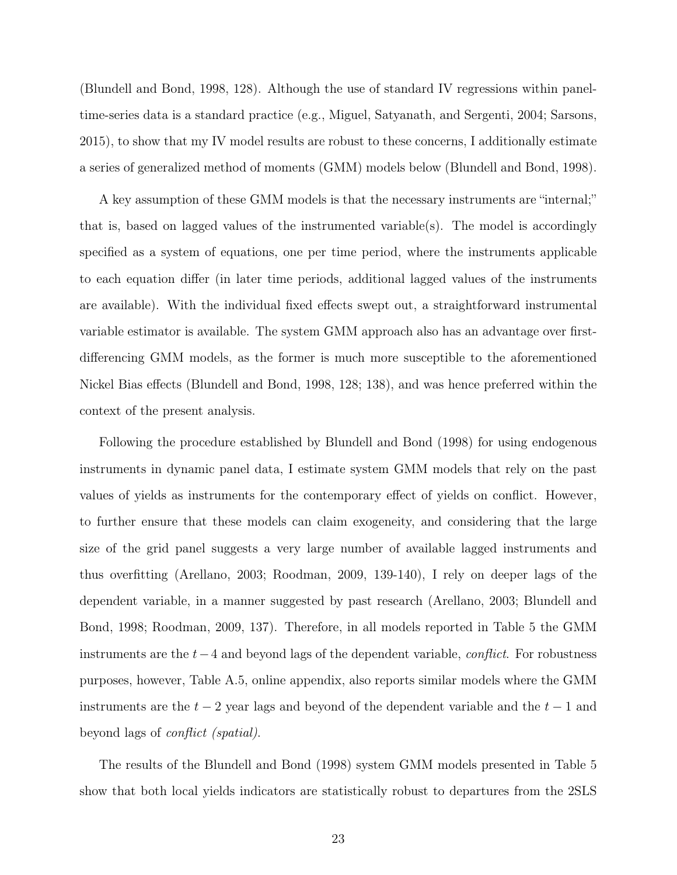(Blundell and Bond, 1998, 128). Although the use of standard IV regressions within paneltime-series data is a standard practice (e.g., Miguel, Satyanath, and Sergenti, 2004; Sarsons, 2015), to show that my IV model results are robust to these concerns, I additionally estimate a series of generalized method of moments (GMM) models below (Blundell and Bond, 1998).

A key assumption of these GMM models is that the necessary instruments are "internal;" that is, based on lagged values of the instrumented variable(s). The model is accordingly specified as a system of equations, one per time period, where the instruments applicable to each equation differ (in later time periods, additional lagged values of the instruments are available). With the individual fixed effects swept out, a straightforward instrumental variable estimator is available. The system GMM approach also has an advantage over firstdifferencing GMM models, as the former is much more susceptible to the aforementioned Nickel Bias effects (Blundell and Bond, 1998, 128; 138), and was hence preferred within the context of the present analysis.

Following the procedure established by Blundell and Bond (1998) for using endogenous instruments in dynamic panel data, I estimate system GMM models that rely on the past values of yields as instruments for the contemporary effect of yields on conflict. However, to further ensure that these models can claim exogeneity, and considering that the large size of the grid panel suggests a very large number of available lagged instruments and thus overfitting (Arellano, 2003; Roodman, 2009, 139-140), I rely on deeper lags of the dependent variable, in a manner suggested by past research (Arellano, 2003; Blundell and Bond, 1998; Roodman, 2009, 137). Therefore, in all models reported in Table 5 the GMM instruments are the  $t-4$  and beyond lags of the dependent variable, *conflict*. For robustness purposes, however, Table A.5, online appendix, also reports similar models where the GMM instruments are the  $t-2$  year lags and beyond of the dependent variable and the  $t-1$  and beyond lags of conflict (spatial).

The results of the Blundell and Bond (1998) system GMM models presented in Table 5 show that both local yields indicators are statistically robust to departures from the 2SLS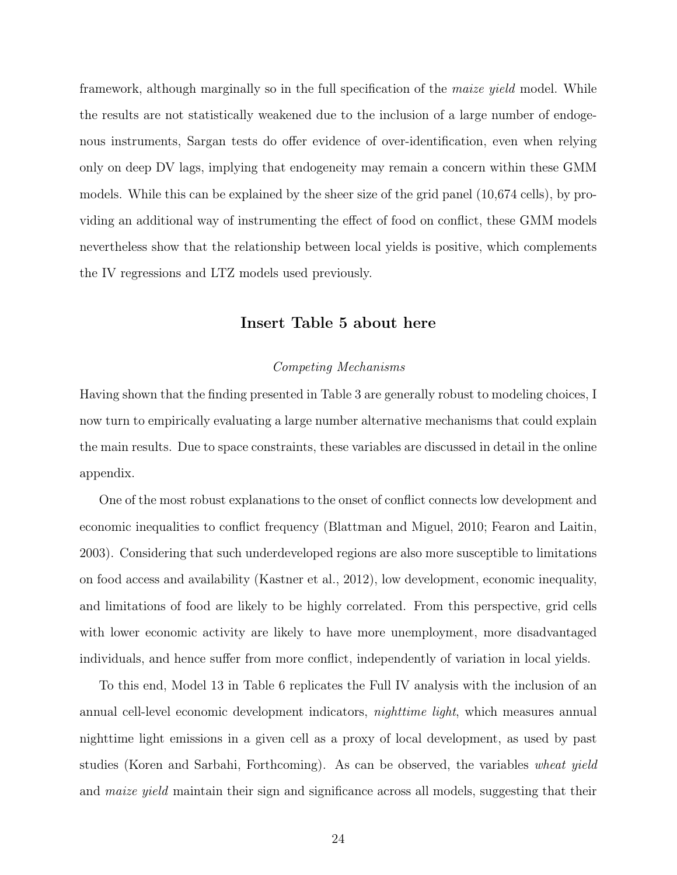framework, although marginally so in the full specification of the maize yield model. While the results are not statistically weakened due to the inclusion of a large number of endogenous instruments, Sargan tests do offer evidence of over-identification, even when relying only on deep DV lags, implying that endogeneity may remain a concern within these GMM models. While this can be explained by the sheer size of the grid panel (10,674 cells), by providing an additional way of instrumenting the effect of food on conflict, these GMM models nevertheless show that the relationship between local yields is positive, which complements the IV regressions and LTZ models used previously.

## Insert Table 5 about here

#### Competing Mechanisms

Having shown that the finding presented in Table 3 are generally robust to modeling choices, I now turn to empirically evaluating a large number alternative mechanisms that could explain the main results. Due to space constraints, these variables are discussed in detail in the online appendix.

One of the most robust explanations to the onset of conflict connects low development and economic inequalities to conflict frequency (Blattman and Miguel, 2010; Fearon and Laitin, 2003). Considering that such underdeveloped regions are also more susceptible to limitations on food access and availability (Kastner et al., 2012), low development, economic inequality, and limitations of food are likely to be highly correlated. From this perspective, grid cells with lower economic activity are likely to have more unemployment, more disadvantaged individuals, and hence suffer from more conflict, independently of variation in local yields.

To this end, Model 13 in Table 6 replicates the Full IV analysis with the inclusion of an annual cell-level economic development indicators, nighttime light, which measures annual nighttime light emissions in a given cell as a proxy of local development, as used by past studies (Koren and Sarbahi, Forthcoming). As can be observed, the variables wheat yield and *maize yield* maintain their sign and significance across all models, suggesting that their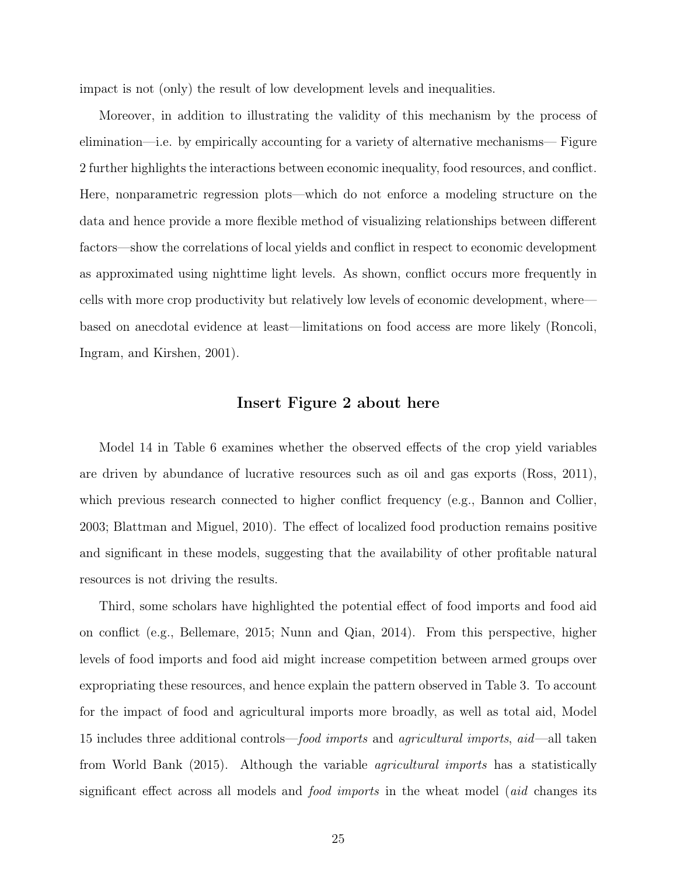impact is not (only) the result of low development levels and inequalities.

Moreover, in addition to illustrating the validity of this mechanism by the process of elimination—i.e. by empirically accounting for a variety of alternative mechanisms— Figure 2 further highlights the interactions between economic inequality, food resources, and conflict. Here, nonparametric regression plots—which do not enforce a modeling structure on the data and hence provide a more flexible method of visualizing relationships between different factors—show the correlations of local yields and conflict in respect to economic development as approximated using nighttime light levels. As shown, conflict occurs more frequently in cells with more crop productivity but relatively low levels of economic development, where based on anecdotal evidence at least—limitations on food access are more likely (Roncoli, Ingram, and Kirshen, 2001).

## Insert Figure 2 about here

Model 14 in Table 6 examines whether the observed effects of the crop yield variables are driven by abundance of lucrative resources such as oil and gas exports (Ross, 2011), which previous research connected to higher conflict frequency (e.g., Bannon and Collier, 2003; Blattman and Miguel, 2010). The effect of localized food production remains positive and significant in these models, suggesting that the availability of other profitable natural resources is not driving the results.

Third, some scholars have highlighted the potential effect of food imports and food aid on conflict (e.g., Bellemare, 2015; Nunn and Qian, 2014). From this perspective, higher levels of food imports and food aid might increase competition between armed groups over expropriating these resources, and hence explain the pattern observed in Table 3. To account for the impact of food and agricultural imports more broadly, as well as total aid, Model 15 includes three additional controls—food imports and agricultural imports, aid—all taken from World Bank (2015). Although the variable agricultural imports has a statistically significant effect across all models and food imports in the wheat model (aid changes its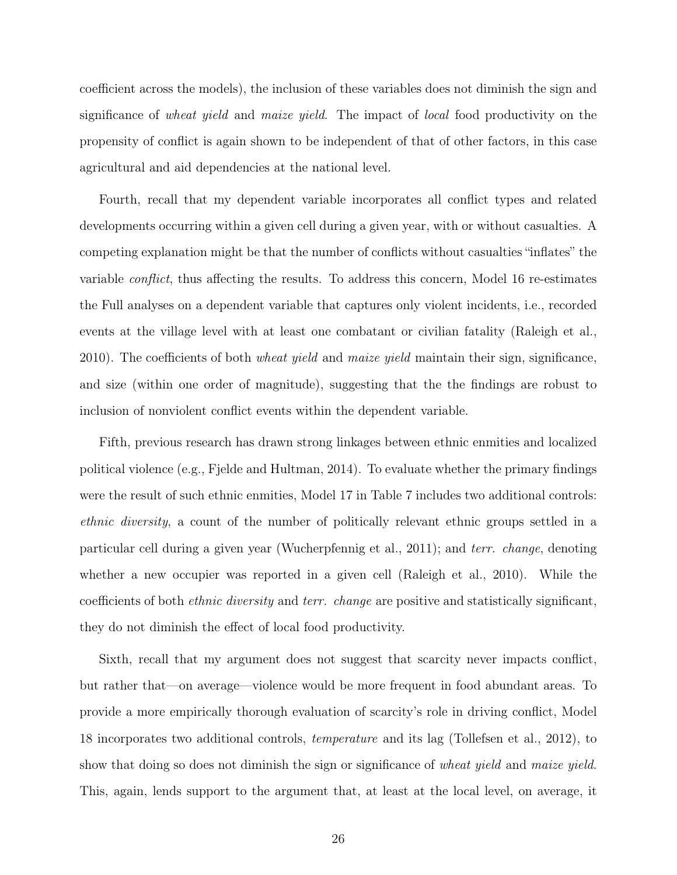coefficient across the models), the inclusion of these variables does not diminish the sign and significance of wheat yield and maize yield. The impact of local food productivity on the propensity of conflict is again shown to be independent of that of other factors, in this case agricultural and aid dependencies at the national level.

Fourth, recall that my dependent variable incorporates all conflict types and related developments occurring within a given cell during a given year, with or without casualties. A competing explanation might be that the number of conflicts without casualties "inflates" the variable conflict, thus affecting the results. To address this concern, Model 16 re-estimates the Full analyses on a dependent variable that captures only violent incidents, i.e., recorded events at the village level with at least one combatant or civilian fatality (Raleigh et al., 2010). The coefficients of both *wheat yield* and *maize yield* maintain their sign, significance, and size (within one order of magnitude), suggesting that the the findings are robust to inclusion of nonviolent conflict events within the dependent variable.

Fifth, previous research has drawn strong linkages between ethnic enmities and localized political violence (e.g., Fjelde and Hultman, 2014). To evaluate whether the primary findings were the result of such ethnic enmities, Model 17 in Table 7 includes two additional controls: ethnic diversity, a count of the number of politically relevant ethnic groups settled in a particular cell during a given year (Wucherpfennig et al., 2011); and terr. change, denoting whether a new occupier was reported in a given cell (Raleigh et al., 2010). While the coefficients of both ethnic diversity and terr. change are positive and statistically significant, they do not diminish the effect of local food productivity.

Sixth, recall that my argument does not suggest that scarcity never impacts conflict, but rather that—on average—violence would be more frequent in food abundant areas. To provide a more empirically thorough evaluation of scarcity's role in driving conflict, Model 18 incorporates two additional controls, temperature and its lag (Tollefsen et al., 2012), to show that doing so does not diminish the sign or significance of wheat yield and maize yield. This, again, lends support to the argument that, at least at the local level, on average, it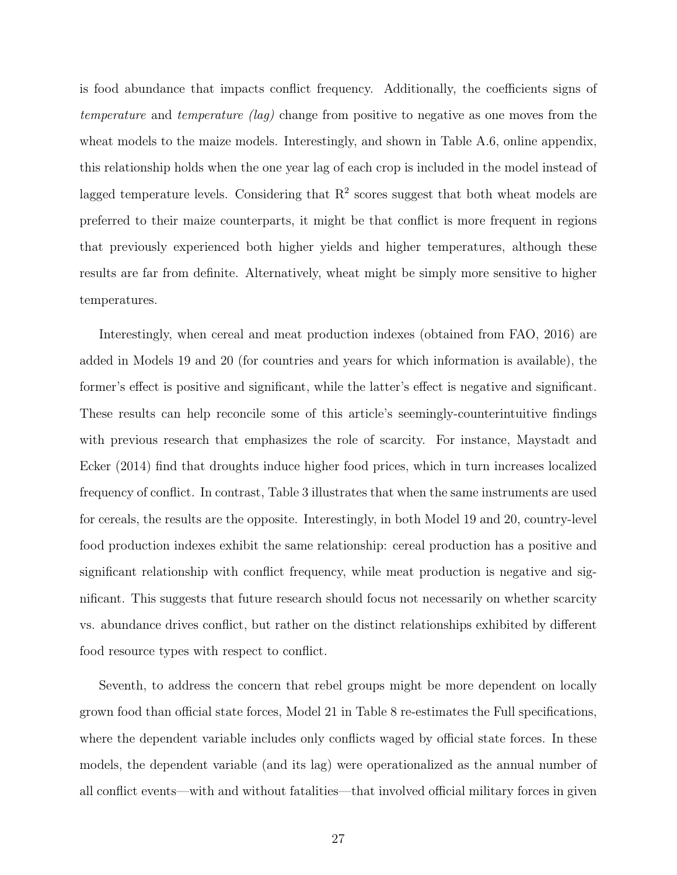is food abundance that impacts conflict frequency. Additionally, the coefficients signs of temperature and temperature (lag) change from positive to negative as one moves from the wheat models to the maize models. Interestingly, and shown in Table A.6, online appendix, this relationship holds when the one year lag of each crop is included in the model instead of lagged temperature levels. Considering that  $R<sup>2</sup>$  scores suggest that both wheat models are preferred to their maize counterparts, it might be that conflict is more frequent in regions that previously experienced both higher yields and higher temperatures, although these results are far from definite. Alternatively, wheat might be simply more sensitive to higher temperatures.

Interestingly, when cereal and meat production indexes (obtained from FAO, 2016) are added in Models 19 and 20 (for countries and years for which information is available), the former's effect is positive and significant, while the latter's effect is negative and significant. These results can help reconcile some of this article's seemingly-counterintuitive findings with previous research that emphasizes the role of scarcity. For instance, Maystadt and Ecker (2014) find that droughts induce higher food prices, which in turn increases localized frequency of conflict. In contrast, Table 3 illustrates that when the same instruments are used for cereals, the results are the opposite. Interestingly, in both Model 19 and 20, country-level food production indexes exhibit the same relationship: cereal production has a positive and significant relationship with conflict frequency, while meat production is negative and significant. This suggests that future research should focus not necessarily on whether scarcity vs. abundance drives conflict, but rather on the distinct relationships exhibited by different food resource types with respect to conflict.

Seventh, to address the concern that rebel groups might be more dependent on locally grown food than official state forces, Model 21 in Table 8 re-estimates the Full specifications, where the dependent variable includes only conflicts waged by official state forces. In these models, the dependent variable (and its lag) were operationalized as the annual number of all conflict events—with and without fatalities—that involved official military forces in given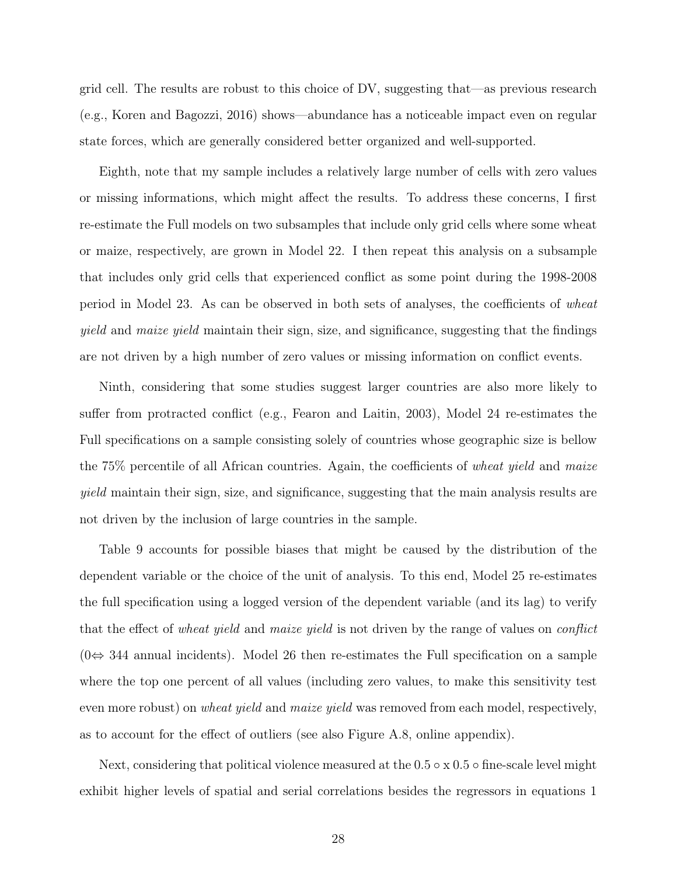grid cell. The results are robust to this choice of DV, suggesting that—as previous research (e.g., Koren and Bagozzi, 2016) shows—abundance has a noticeable impact even on regular state forces, which are generally considered better organized and well-supported.

Eighth, note that my sample includes a relatively large number of cells with zero values or missing informations, which might affect the results. To address these concerns, I first re-estimate the Full models on two subsamples that include only grid cells where some wheat or maize, respectively, are grown in Model 22. I then repeat this analysis on a subsample that includes only grid cells that experienced conflict as some point during the 1998-2008 period in Model 23. As can be observed in both sets of analyses, the coefficients of wheat yield and maize yield maintain their sign, size, and significance, suggesting that the findings are not driven by a high number of zero values or missing information on conflict events.

Ninth, considering that some studies suggest larger countries are also more likely to suffer from protracted conflict (e.g., Fearon and Laitin, 2003), Model 24 re-estimates the Full specifications on a sample consisting solely of countries whose geographic size is bellow the 75% percentile of all African countries. Again, the coefficients of wheat yield and maize yield maintain their sign, size, and significance, suggesting that the main analysis results are not driven by the inclusion of large countries in the sample.

Table 9 accounts for possible biases that might be caused by the distribution of the dependent variable or the choice of the unit of analysis. To this end, Model 25 re-estimates the full specification using a logged version of the dependent variable (and its lag) to verify that the effect of *wheat yield* and *maize yield* is not driven by the range of values on *conflict* (0⇔ 344 annual incidents). Model 26 then re-estimates the Full specification on a sample where the top one percent of all values (including zero values, to make this sensitivity test even more robust) on *wheat yield* and *maize yield* was removed from each model, respectively, as to account for the effect of outliers (see also Figure A.8, online appendix).

Next, considering that political violence measured at the 0.5 ∘ x 0.5 ∘ fine-scale level might exhibit higher levels of spatial and serial correlations besides the regressors in equations 1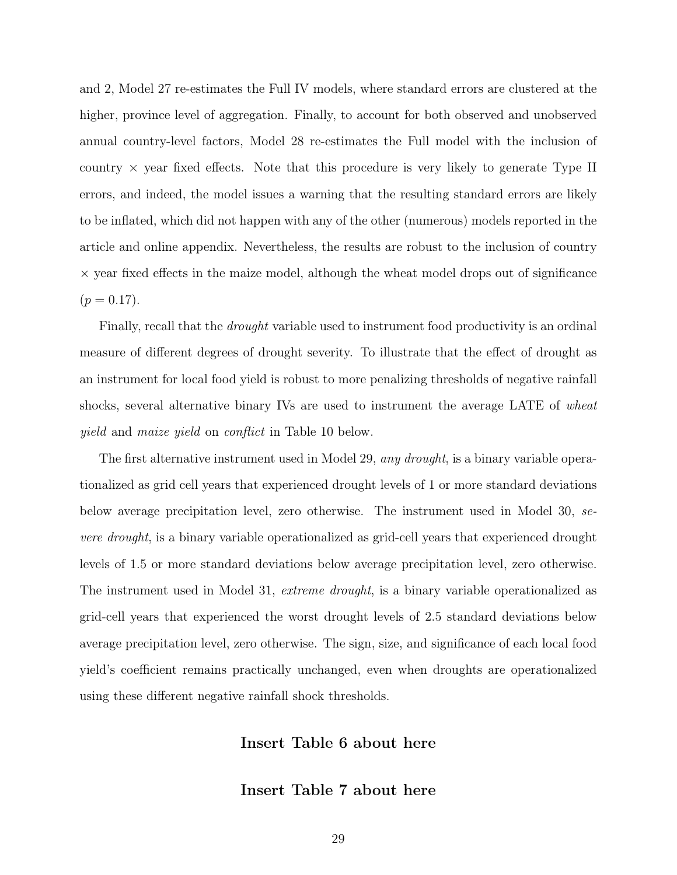and 2, Model 27 re-estimates the Full IV models, where standard errors are clustered at the higher, province level of aggregation. Finally, to account for both observed and unobserved annual country-level factors, Model 28 re-estimates the Full model with the inclusion of country  $\times$  year fixed effects. Note that this procedure is very likely to generate Type II errors, and indeed, the model issues a warning that the resulting standard errors are likely to be inflated, which did not happen with any of the other (numerous) models reported in the article and online appendix. Nevertheless, the results are robust to the inclusion of country  $\times$  year fixed effects in the maize model, although the wheat model drops out of significance  $(p = 0.17).$ 

Finally, recall that the *drought* variable used to instrument food productivity is an ordinal measure of different degrees of drought severity. To illustrate that the effect of drought as an instrument for local food yield is robust to more penalizing thresholds of negative rainfall shocks, several alternative binary IVs are used to instrument the average LATE of wheat yield and maize yield on conflict in Table 10 below.

The first alternative instrument used in Model 29, any drought, is a binary variable operationalized as grid cell years that experienced drought levels of 1 or more standard deviations below average precipitation level, zero otherwise. The instrument used in Model 30, severe drought, is a binary variable operationalized as grid-cell years that experienced drought levels of 1.5 or more standard deviations below average precipitation level, zero otherwise. The instrument used in Model 31, *extreme drought*, is a binary variable operationalized as grid-cell years that experienced the worst drought levels of 2.5 standard deviations below average precipitation level, zero otherwise. The sign, size, and significance of each local food yield's coefficient remains practically unchanged, even when droughts are operationalized using these different negative rainfall shock thresholds.

## Insert Table 6 about here

### Insert Table 7 about here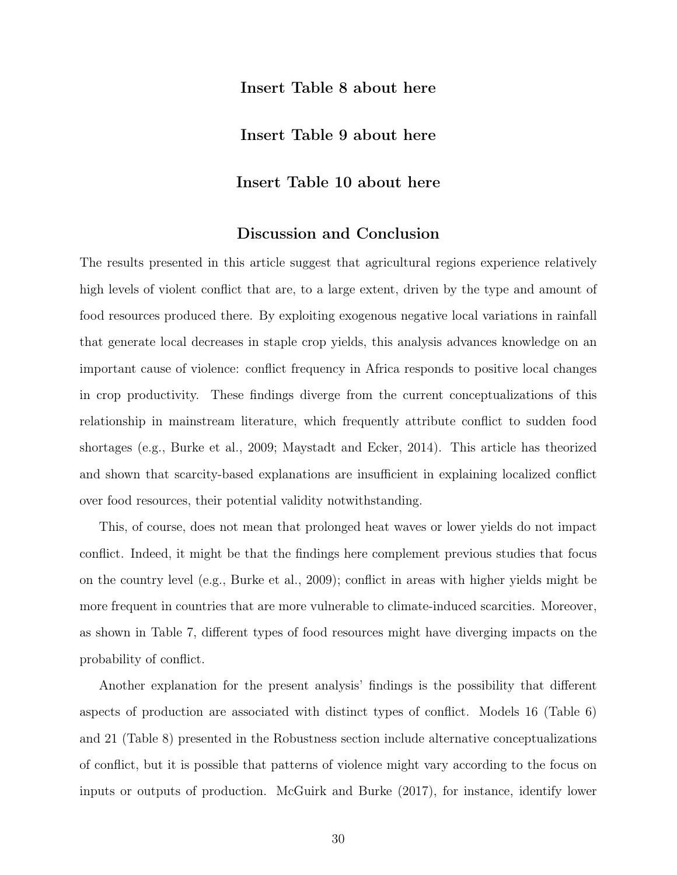## Insert Table 8 about here

## Insert Table 9 about here

## Insert Table 10 about here

## Discussion and Conclusion

The results presented in this article suggest that agricultural regions experience relatively high levels of violent conflict that are, to a large extent, driven by the type and amount of food resources produced there. By exploiting exogenous negative local variations in rainfall that generate local decreases in staple crop yields, this analysis advances knowledge on an important cause of violence: conflict frequency in Africa responds to positive local changes in crop productivity. These findings diverge from the current conceptualizations of this relationship in mainstream literature, which frequently attribute conflict to sudden food shortages (e.g., Burke et al., 2009; Maystadt and Ecker, 2014). This article has theorized and shown that scarcity-based explanations are insufficient in explaining localized conflict over food resources, their potential validity notwithstanding.

This, of course, does not mean that prolonged heat waves or lower yields do not impact conflict. Indeed, it might be that the findings here complement previous studies that focus on the country level (e.g., Burke et al., 2009); conflict in areas with higher yields might be more frequent in countries that are more vulnerable to climate-induced scarcities. Moreover, as shown in Table 7, different types of food resources might have diverging impacts on the probability of conflict.

Another explanation for the present analysis' findings is the possibility that different aspects of production are associated with distinct types of conflict. Models 16 (Table 6) and 21 (Table 8) presented in the Robustness section include alternative conceptualizations of conflict, but it is possible that patterns of violence might vary according to the focus on inputs or outputs of production. McGuirk and Burke (2017), for instance, identify lower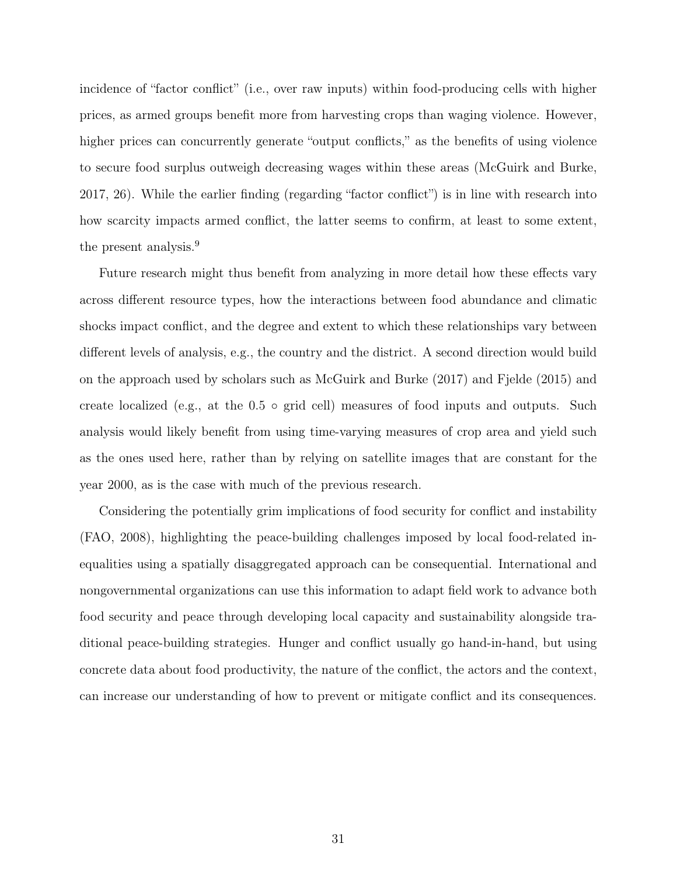incidence of "factor conflict" (i.e., over raw inputs) within food-producing cells with higher prices, as armed groups benefit more from harvesting crops than waging violence. However, higher prices can concurrently generate "output conflicts," as the benefits of using violence to secure food surplus outweigh decreasing wages within these areas (McGuirk and Burke, 2017, 26). While the earlier finding (regarding "factor conflict") is in line with research into how scarcity impacts armed conflict, the latter seems to confirm, at least to some extent, the present analysis.<sup>9</sup>

Future research might thus benefit from analyzing in more detail how these effects vary across different resource types, how the interactions between food abundance and climatic shocks impact conflict, and the degree and extent to which these relationships vary between different levels of analysis, e.g., the country and the district. A second direction would build on the approach used by scholars such as McGuirk and Burke (2017) and Fjelde (2015) and create localized (e.g., at the  $0.5 \circ$  grid cell) measures of food inputs and outputs. Such analysis would likely benefit from using time-varying measures of crop area and yield such as the ones used here, rather than by relying on satellite images that are constant for the year 2000, as is the case with much of the previous research.

Considering the potentially grim implications of food security for conflict and instability (FAO, 2008), highlighting the peace-building challenges imposed by local food-related inequalities using a spatially disaggregated approach can be consequential. International and nongovernmental organizations can use this information to adapt field work to advance both food security and peace through developing local capacity and sustainability alongside traditional peace-building strategies. Hunger and conflict usually go hand-in-hand, but using concrete data about food productivity, the nature of the conflict, the actors and the context, can increase our understanding of how to prevent or mitigate conflict and its consequences.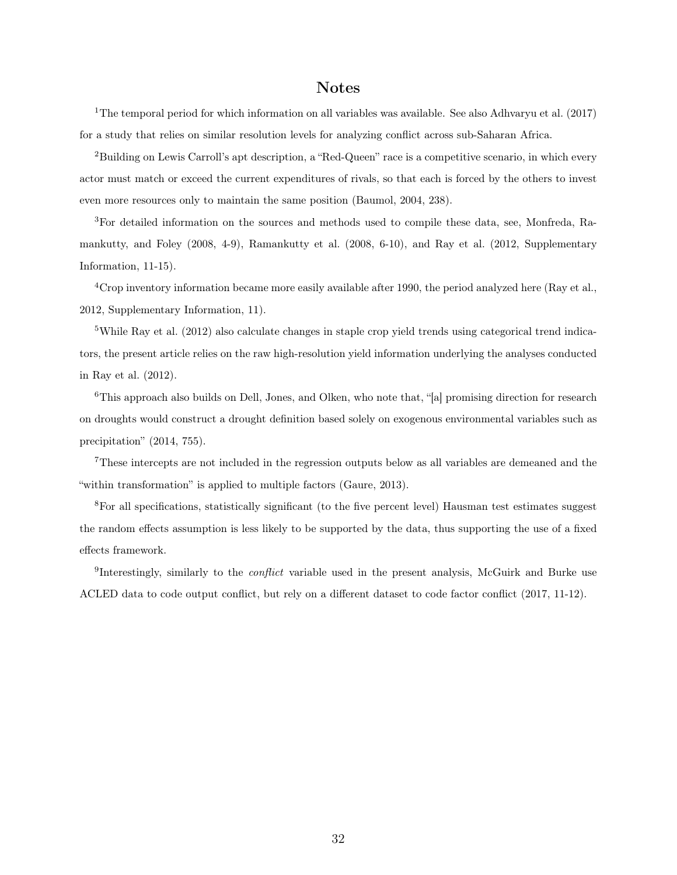### Notes

<sup>1</sup>The temporal period for which information on all variables was available. See also Adhvaryu et al. (2017) for a study that relies on similar resolution levels for analyzing conflict across sub-Saharan Africa.

<sup>2</sup>Building on Lewis Carroll's apt description, a "Red-Queen" race is a competitive scenario, in which every actor must match or exceed the current expenditures of rivals, so that each is forced by the others to invest even more resources only to maintain the same position (Baumol, 2004, 238).

<sup>3</sup>For detailed information on the sources and methods used to compile these data, see, Monfreda, Ramankutty, and Foley (2008, 4-9), Ramankutty et al. (2008, 6-10), and Ray et al. (2012, Supplementary Information, 11-15).

<sup>4</sup>Crop inventory information became more easily available after 1990, the period analyzed here (Ray et al., 2012, Supplementary Information, 11).

<sup>5</sup>While Ray et al. (2012) also calculate changes in staple crop yield trends using categorical trend indicators, the present article relies on the raw high-resolution yield information underlying the analyses conducted in Ray et al. (2012).

<sup>6</sup>This approach also builds on Dell, Jones, and Olken, who note that, "[a] promising direction for research on droughts would construct a drought definition based solely on exogenous environmental variables such as precipitation" (2014, 755).

<sup>7</sup>These intercepts are not included in the regression outputs below as all variables are demeaned and the "within transformation" is applied to multiple factors (Gaure, 2013).

<sup>8</sup>For all specifications, statistically significant (to the five percent level) Hausman test estimates suggest the random effects assumption is less likely to be supported by the data, thus supporting the use of a fixed effects framework.

<sup>9</sup>Interestingly, similarly to the *conflict* variable used in the present analysis, McGuirk and Burke use ACLED data to code output conflict, but rely on a different dataset to code factor conflict (2017, 11-12).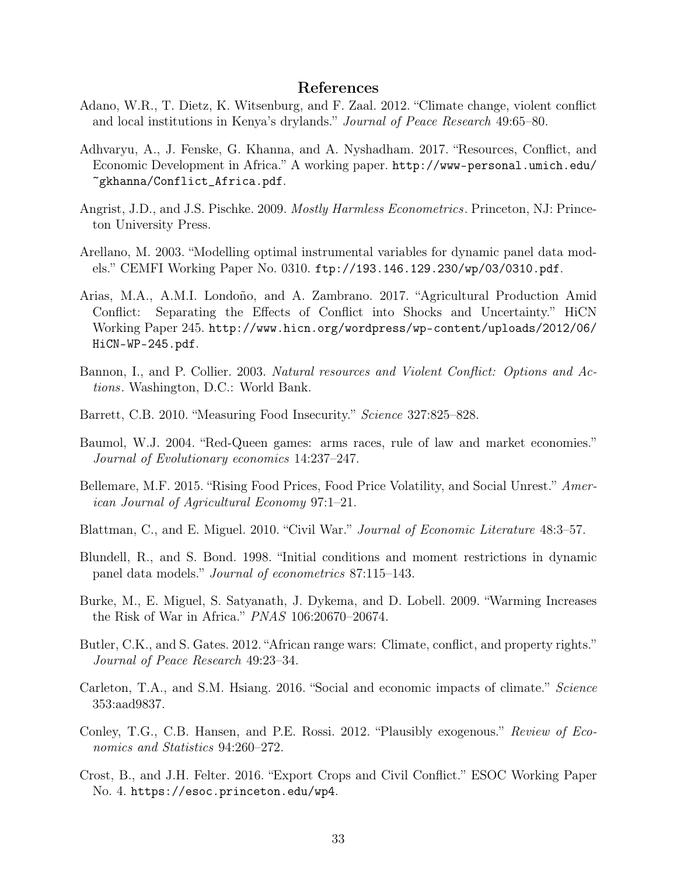## References

- Adano, W.R., T. Dietz, K. Witsenburg, and F. Zaal. 2012. "Climate change, violent conflict and local institutions in Kenya's drylands." Journal of Peace Research 49:65–80.
- Adhvaryu, A., J. Fenske, G. Khanna, and A. Nyshadham. 2017. "Resources, Conflict, and Economic Development in Africa." A working paper. http://www-personal.umich.edu/ ~gkhanna/Conflict\_Africa.pdf.
- Angrist, J.D., and J.S. Pischke. 2009. Mostly Harmless Econometrics. Princeton, NJ: Princeton University Press.
- Arellano, M. 2003. "Modelling optimal instrumental variables for dynamic panel data models." CEMFI Working Paper No. 0310. ftp://193.146.129.230/wp/03/0310.pdf.
- Arias, M.A., A.M.I. Londoño, and A. Zambrano. 2017. "Agricultural Production Amid Conflict: Separating the Effects of Conflict into Shocks and Uncertainty." HiCN Working Paper 245. http://www.hicn.org/wordpress/wp-content/uploads/2012/06/ HiCN-WP-245.pdf.
- Bannon, I., and P. Collier. 2003. Natural resources and Violent Conflict: Options and Actions. Washington, D.C.: World Bank.
- Barrett, C.B. 2010. "Measuring Food Insecurity." Science 327:825–828.
- Baumol, W.J. 2004. "Red-Queen games: arms races, rule of law and market economies." Journal of Evolutionary economics 14:237–247.
- Bellemare, M.F. 2015. "Rising Food Prices, Food Price Volatility, and Social Unrest." American Journal of Agricultural Economy 97:1–21.
- Blattman, C., and E. Miguel. 2010. "Civil War." *Journal of Economic Literature* 48:3–57.
- Blundell, R., and S. Bond. 1998. "Initial conditions and moment restrictions in dynamic panel data models." Journal of econometrics 87:115–143.
- Burke, M., E. Miguel, S. Satyanath, J. Dykema, and D. Lobell. 2009. "Warming Increases the Risk of War in Africa." PNAS 106:20670–20674.
- Butler, C.K., and S. Gates. 2012. "African range wars: Climate, conflict, and property rights." Journal of Peace Research 49:23–34.
- Carleton, T.A., and S.M. Hsiang. 2016. "Social and economic impacts of climate." Science 353:aad9837.
- Conley, T.G., C.B. Hansen, and P.E. Rossi. 2012. "Plausibly exogenous." Review of Economics and Statistics 94:260–272.
- Crost, B., and J.H. Felter. 2016. "Export Crops and Civil Conflict." ESOC Working Paper No. 4. https://esoc.princeton.edu/wp4.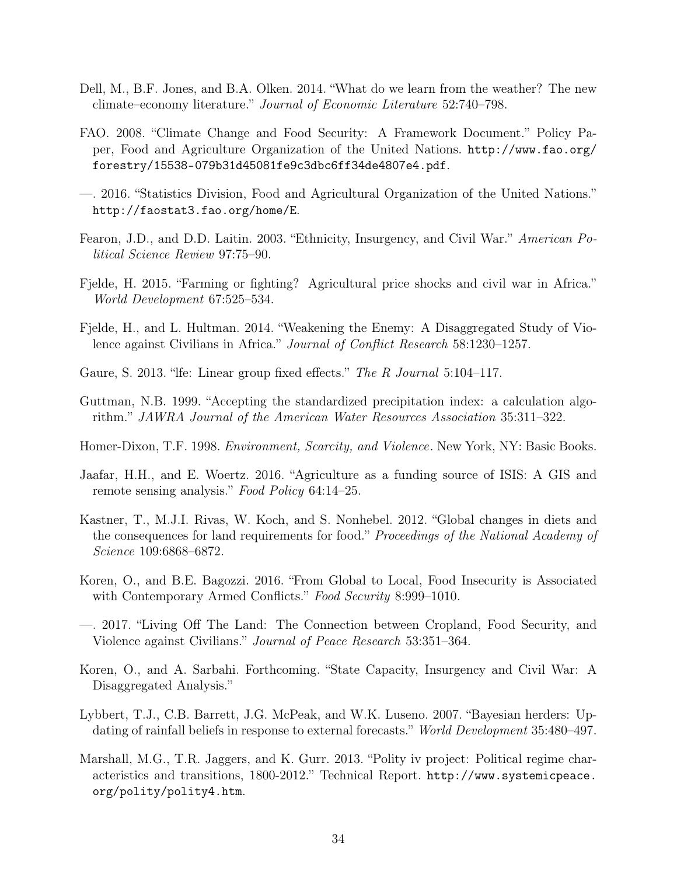- Dell, M., B.F. Jones, and B.A. Olken. 2014. "What do we learn from the weather? The new climate–economy literature." Journal of Economic Literature 52:740–798.
- FAO. 2008. "Climate Change and Food Security: A Framework Document." Policy Paper, Food and Agriculture Organization of the United Nations. http://www.fao.org/ forestry/15538-079b31d45081fe9c3dbc6ff34de4807e4.pdf.
- —. 2016. "Statistics Division, Food and Agricultural Organization of the United Nations." http://faostat3.fao.org/home/E.
- Fearon, J.D., and D.D. Laitin. 2003. "Ethnicity, Insurgency, and Civil War." American Political Science Review 97:75–90.
- Fjelde, H. 2015. "Farming or fighting? Agricultural price shocks and civil war in Africa." World Development 67:525–534.
- Fjelde, H., and L. Hultman. 2014. "Weakening the Enemy: A Disaggregated Study of Violence against Civilians in Africa." Journal of Conflict Research 58:1230–1257.
- Gaure, S. 2013. "Ife: Linear group fixed effects." The R Journal 5:104–117.
- Guttman, N.B. 1999. "Accepting the standardized precipitation index: a calculation algorithm." JAWRA Journal of the American Water Resources Association 35:311–322.
- Homer-Dixon, T.F. 1998. *Environment, Scarcity, and Violence*. New York, NY: Basic Books.
- Jaafar, H.H., and E. Woertz. 2016. "Agriculture as a funding source of ISIS: A GIS and remote sensing analysis." Food Policy 64:14–25.
- Kastner, T., M.J.I. Rivas, W. Koch, and S. Nonhebel. 2012. "Global changes in diets and the consequences for land requirements for food." Proceedings of the National Academy of Science 109:6868–6872.
- Koren, O., and B.E. Bagozzi. 2016. "From Global to Local, Food Insecurity is Associated with Contemporary Armed Conflicts." Food Security 8:999-1010.
- —. 2017. "Living Off The Land: The Connection between Cropland, Food Security, and Violence against Civilians." Journal of Peace Research 53:351–364.
- Koren, O., and A. Sarbahi. Forthcoming. "State Capacity, Insurgency and Civil War: A Disaggregated Analysis."
- Lybbert, T.J., C.B. Barrett, J.G. McPeak, and W.K. Luseno. 2007. "Bayesian herders: Updating of rainfall beliefs in response to external forecasts." World Development 35:480–497.
- Marshall, M.G., T.R. Jaggers, and K. Gurr. 2013. "Polity iv project: Political regime characteristics and transitions, 1800-2012." Technical Report. http://www.systemicpeace. org/polity/polity4.htm.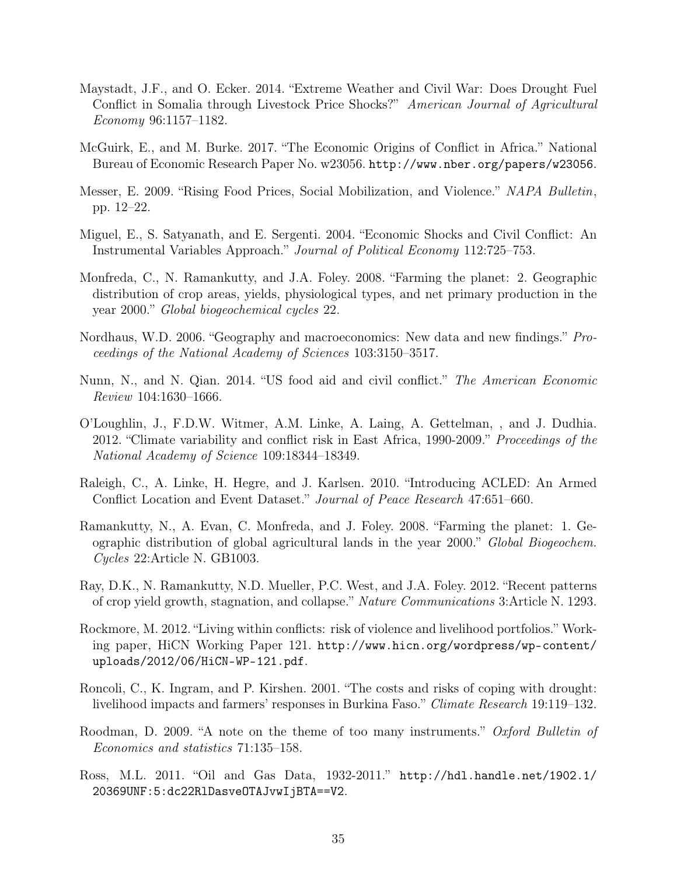- Maystadt, J.F., and O. Ecker. 2014. "Extreme Weather and Civil War: Does Drought Fuel Conflict in Somalia through Livestock Price Shocks?" American Journal of Agricultural Economy 96:1157–1182.
- McGuirk, E., and M. Burke. 2017. "The Economic Origins of Conflict in Africa." National Bureau of Economic Research Paper No. w23056. http://www.nber.org/papers/w23056.
- Messer, E. 2009. "Rising Food Prices, Social Mobilization, and Violence." NAPA Bulletin, pp. 12–22.
- Miguel, E., S. Satyanath, and E. Sergenti. 2004. "Economic Shocks and Civil Conflict: An Instrumental Variables Approach." Journal of Political Economy 112:725–753.
- Monfreda, C., N. Ramankutty, and J.A. Foley. 2008. "Farming the planet: 2. Geographic distribution of crop areas, yields, physiological types, and net primary production in the year 2000." Global biogeochemical cycles 22.
- Nordhaus, W.D. 2006. "Geography and macroeconomics: New data and new findings." Proceedings of the National Academy of Sciences 103:3150–3517.
- Nunn, N., and N. Qian. 2014. "US food aid and civil conflict." The American Economic Review 104:1630–1666.
- O'Loughlin, J., F.D.W. Witmer, A.M. Linke, A. Laing, A. Gettelman, , and J. Dudhia. 2012. "Climate variability and conflict risk in East Africa, 1990-2009." Proceedings of the National Academy of Science 109:18344–18349.
- Raleigh, C., A. Linke, H. Hegre, and J. Karlsen. 2010. "Introducing ACLED: An Armed Conflict Location and Event Dataset." Journal of Peace Research 47:651–660.
- Ramankutty, N., A. Evan, C. Monfreda, and J. Foley. 2008. "Farming the planet: 1. Geographic distribution of global agricultural lands in the year 2000." Global Biogeochem. Cycles 22:Article N. GB1003.
- Ray, D.K., N. Ramankutty, N.D. Mueller, P.C. West, and J.A. Foley. 2012. "Recent patterns of crop yield growth, stagnation, and collapse." Nature Communications 3:Article N. 1293.
- Rockmore, M. 2012. "Living within conflicts: risk of violence and livelihood portfolios." Working paper, HiCN Working Paper 121. http://www.hicn.org/wordpress/wp-content/ uploads/2012/06/HiCN-WP-121.pdf.
- Roncoli, C., K. Ingram, and P. Kirshen. 2001. "The costs and risks of coping with drought: livelihood impacts and farmers' responses in Burkina Faso." Climate Research 19:119–132.
- Roodman, D. 2009. "A note on the theme of too many instruments." Oxford Bulletin of Economics and statistics 71:135–158.
- Ross, M.L. 2011. "Oil and Gas Data, 1932-2011." http://hdl.handle.net/1902.1/ 20369UNF:5:dc22RlDasveOTAJvwIjBTA==V2.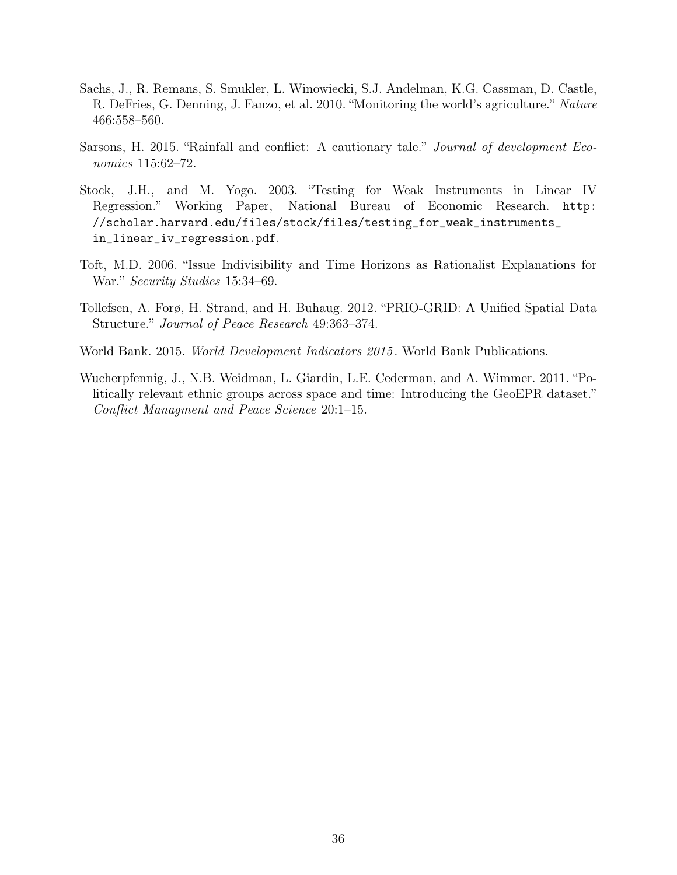- Sachs, J., R. Remans, S. Smukler, L. Winowiecki, S.J. Andelman, K.G. Cassman, D. Castle, R. DeFries, G. Denning, J. Fanzo, et al. 2010. "Monitoring the world's agriculture." Nature 466:558–560.
- Sarsons, H. 2015. "Rainfall and conflict: A cautionary tale." Journal of development Economics 115:62–72.
- Stock, J.H., and M. Yogo. 2003. "Testing for Weak Instruments in Linear IV Regression." Working Paper, National Bureau of Economic Research. http: //scholar.harvard.edu/files/stock/files/testing\_for\_weak\_instruments\_ in\_linear\_iv\_regression.pdf.
- Toft, M.D. 2006. "Issue Indivisibility and Time Horizons as Rationalist Explanations for War." Security Studies 15:34–69.
- Tollefsen, A. Forø, H. Strand, and H. Buhaug. 2012. "PRIO-GRID: A Unified Spatial Data Structure." Journal of Peace Research 49:363–374.
- World Bank. 2015. World Development Indicators 2015 . World Bank Publications.
- Wucherpfennig, J., N.B. Weidman, L. Giardin, L.E. Cederman, and A. Wimmer. 2011. "Politically relevant ethnic groups across space and time: Introducing the GeoEPR dataset." Conflict Managment and Peace Science 20:1–15.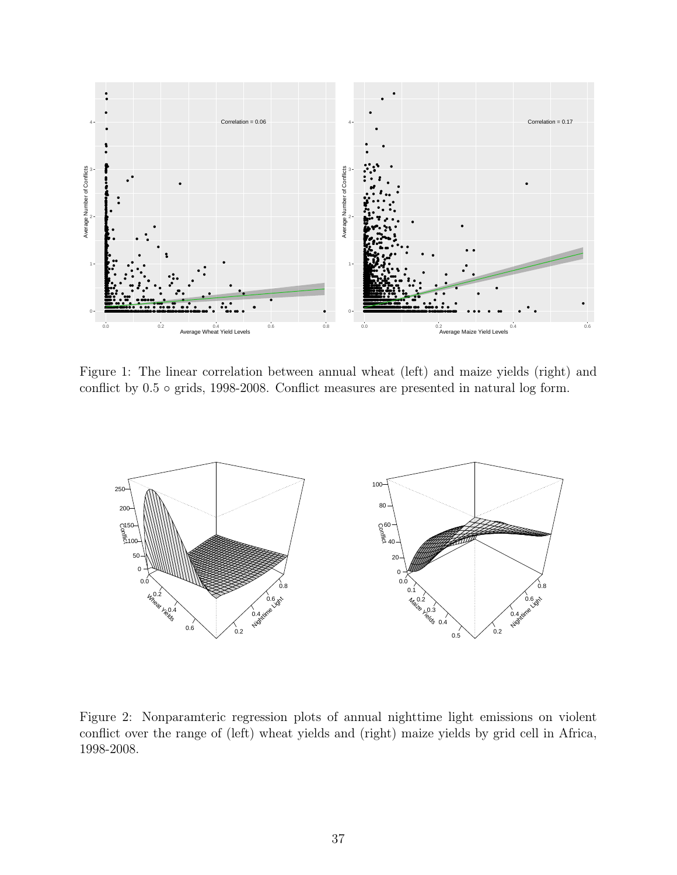

Figure 1: The linear correlation between annual wheat (left) and maize yields (right) and conflict by  $0.5 \circ$  grids, 1998-2008. Conflict measures are presented in natural log form.



Figure 2: Nonparamteric regression plots of annual nighttime light emissions on violent conflict over the range of (left) wheat yields and (right) maize yields by grid cell in Africa, 1998-2008.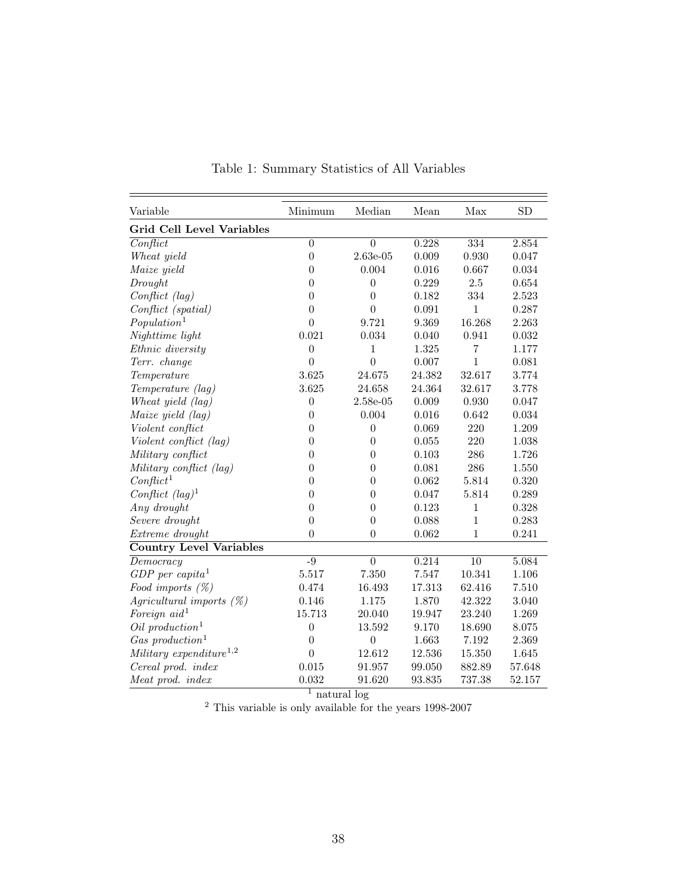| Variable                            | Minimum          | Median           | Mean      | Max             | <b>SD</b> |
|-------------------------------------|------------------|------------------|-----------|-----------------|-----------|
| <b>Grid Cell Level Variables</b>    |                  |                  |           |                 |           |
| $\overline{Conflict}$               | $\boldsymbol{0}$ | $\theta$         | 0.228     | 334             | 2.854     |
| Wheat yield                         | $\theta$         | 2.63e-05         | 0.009     | 0.930           | 0.047     |
| Maize yield                         | 0                | 0.004            | 0.016     | 0.667           | 0.034     |
| Drought                             | $\theta$         | $\overline{0}$   | 0.229     | 2.5             | 0.654     |
| $Conflict$ (lag)                    | $\overline{0}$   | $\overline{0}$   | 0.182     | 334             | 2.523     |
| Conflict (spatial)                  | $\overline{0}$   | $\boldsymbol{0}$ | 0.091     | 1               | 0.287     |
| Population <sup>1</sup>             | $\overline{0}$   | 9.721            | 9.369     | 16.268          | 2.263     |
| Nighttime light                     | 0.021            | 0.034            | 0.040     | 0.941           | 0.032     |
| Ethnic diversity                    | $\boldsymbol{0}$ | 1                | 1.325     | 7               | 1.177     |
| Terr. change                        | $\boldsymbol{0}$ | $\overline{0}$   | $0.007\,$ | 1               | 0.081     |
| Temperature                         | 3.625            | 24.675           | 24.382    | 32.617          | 3.774     |
| Temperature (lag)                   | 3.625            | 24.658           | 24.364    | 32.617          | 3.778     |
| Wheat yield (lag)                   | $\boldsymbol{0}$ | $2.58e-05$       | 0.009     | 0.930           | 0.047     |
| Maize yield (lag)                   | $\overline{0}$   | 0.004            | 0.016     | 0.642           | 0.034     |
| Violent conflict                    | $\overline{0}$   | $\boldsymbol{0}$ | 0.069     | 220             | 1.209     |
| Violent conflict (lag)              | 0                | $\theta$         | 0.055     | 220             | 1.038     |
| Military conflict                   | 0                | $\overline{0}$   | 0.103     | 286             | 1.726     |
| Military conflict (lag)             | $\overline{0}$   | $\overline{0}$   | 0.081     | 286             | 1.550     |
| Conflict <sup>1</sup>               | $\overline{0}$   | $\theta$         | 0.062     | 5.814           | 0.320     |
| Conflict $(lag)^1$                  | $\overline{0}$   | $\theta$         | 0.047     | 5.814           | 0.289     |
| Any drought                         | $\theta$         | $\theta$         | 0.123     | $\mathbf{1}$    | 0.328     |
| Severe drought                      | $\overline{0}$   | $\overline{0}$   | 0.088     | $\mathbf{1}$    | 0.283     |
| Extreme drought                     | $\overline{0}$   | $\overline{0}$   | 0.062     | $\mathbf{1}$    | 0.241     |
| <b>Country Level Variables</b>      |                  |                  |           |                 |           |
| Democracy                           | $-9$             | $\overline{0}$   | 0.214     | $\overline{10}$ | 5.084     |
| $GDP$ per capita <sup>1</sup>       | 5.517            | 7.350            | 7.547     | 10.341          | 1.106     |
| Food imports $(\%)$                 | 0.474            | 16.493           | 17.313    | 62.416          | 7.510     |
| Agricultural imports $(\%)$         | 0.146            | 1.175            | 1.870     | 42.322          | 3.040     |
| Foreign $aid1$                      | 15.713           | 20.040           | 19.947    | 23.240          | 1.269     |
| $Oil$ production <sup>1</sup>       | $\boldsymbol{0}$ | 13.592           | 9.170     | 18.690          | 8.075     |
| $Gas\ production1$                  | $\boldsymbol{0}$ | $\overline{0}$   | 1.663     | 7.192           | 2.369     |
| Military expenditure <sup>1,2</sup> | $\overline{0}$   | 12.612           | 12.536    | 15.350          | 1.645     |
| Cereal prod. index                  | 0.015            | 91.957           | 99.050    | 882.89          | 57.648    |
| Meat prod. index                    | 0.032            | 91.620           | 93.835    | 737.38          | 52.157    |

Table 1: Summary Statistics of All Variables

<sup>1</sup> natural log

 $2$  This variable is only available for the years 1998-2007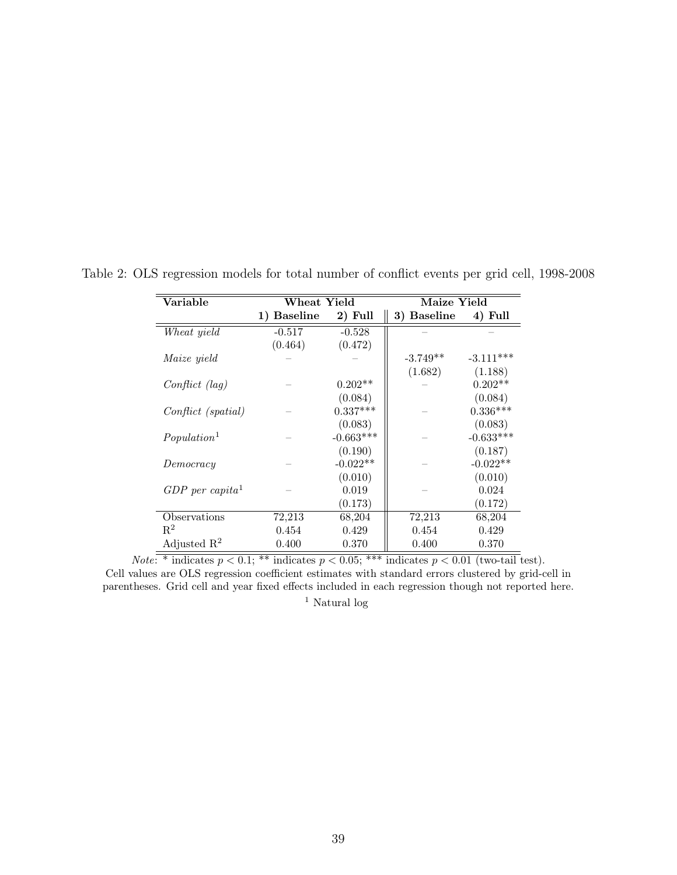| Variable                      | Wheat Yield |             | Maize Yield |             |
|-------------------------------|-------------|-------------|-------------|-------------|
|                               | 1) Baseline | 2) Full     | 3) Baseline | 4) Full     |
| Wheat yield                   | $-0.517$    | $-0.528$    |             |             |
|                               | (0.464)     | (0.472)     |             |             |
| Maize yield                   |             |             | $-3.749**$  | $-3.111***$ |
|                               |             |             | (1.682)     | (1.188)     |
| $Conflict$ (lag)              |             | $0.202**$   |             | $0.202**$   |
|                               |             | (0.084)     |             | (0.084)     |
| Conflict (spatial)            |             | $0.337***$  |             | $0.336***$  |
|                               |             | (0.083)     |             | (0.083)     |
| Population <sup>1</sup>       |             | $-0.663***$ |             | $-0.633***$ |
|                               |             | (0.190)     |             | (0.187)     |
| Democracy                     |             | $-0.022**$  |             | $-0.022**$  |
|                               |             | (0.010)     |             | (0.010)     |
| $GDP$ per capita <sup>1</sup> |             | 0.019       |             | 0.024       |
|                               |             | (0.173)     |             | (0.172)     |
| Observations                  | 72,213      | 68,204      | 72,213      | 68,204      |
| $R^2$                         | 0.454       | 0.429       | 0.454       | 0.429       |
| Adjusted $\mathbb{R}^2$       | 0.400       | 0.370       | 0.400       | 0.370       |

Table 2: OLS regression models for total number of conflict events per grid cell, 1998-2008

Note: \* indicates  $p < 0.1$ ; \*\* indicates  $p < 0.05$ ; \*\*\* indicates  $p < 0.01$  (two-tail test). Cell values are OLS regression coefficient estimates with standard errors clustered by grid-cell in parentheses. Grid cell and year fixed effects included in each regression though not reported here. <sup>1</sup> Natural log

39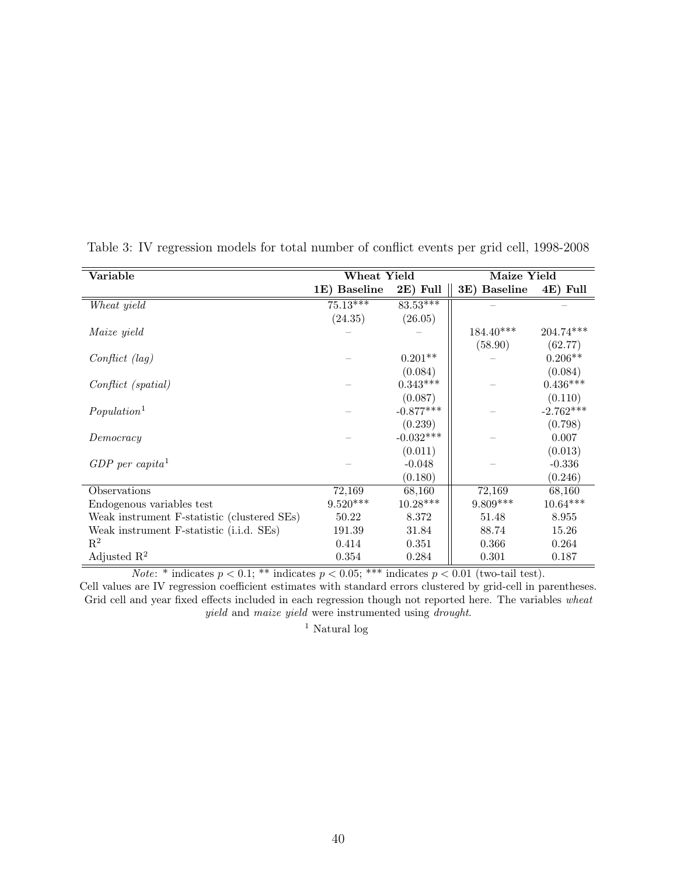| Variable                                    | Wheat Yield  |             | Maize Yield  |             |
|---------------------------------------------|--------------|-------------|--------------|-------------|
|                                             | 1E) Baseline | 2E) Full    | 3E) Baseline | 4E) Full    |
| Wheat $yie\overline{ld}$                    | $75.13***$   | $83.53***$  |              |             |
|                                             | (24.35)      | (26.05)     |              |             |
| Maize yield                                 |              |             | $184.40***$  | $204.74***$ |
|                                             |              |             | (58.90)      | (62.77)     |
| $Conflict$ (lag)                            |              | $0.201**$   |              | $0.206**$   |
|                                             |              | (0.084)     |              | (0.084)     |
| Conflict (spatial)                          |              | $0.343***$  |              | $0.436***$  |
|                                             |              | (0.087)     |              | (0.110)     |
| Population <sup>1</sup>                     |              | $-0.877***$ |              | $-2.762***$ |
|                                             |              | (0.239)     |              | (0.798)     |
| Democracy                                   |              | $-0.032***$ |              | 0.007       |
|                                             |              | (0.011)     |              | (0.013)     |
| $GDP$ per capita <sup>1</sup>               |              | $-0.048$    |              | $-0.336$    |
|                                             |              | (0.180)     |              | (0.246)     |
| Observations                                | 72,169       | 68,160      | 72,169       | 68,160      |
| Endogenous variables test                   | $9.520***$   | $10.28***$  | $9.809***$   | $10.64***$  |
| Weak instrument F-statistic (clustered SEs) | 50.22        | 8.372       | 51.48        | 8.955       |
| Weak instrument F-statistic (i.i.d. SEs)    | 191.39       | 31.84       | 88.74        | 15.26       |
| $\mathbf{R}^2$                              | 0.414        | 0.351       | 0.366        | 0.264       |
| Adjusted $\mathbb{R}^2$                     | 0.354        | 0.284       | 0.301        | 0.187       |

Table 3: IV regression models for total number of conflict events per grid cell, 1998-2008

*Note*: \* indicates  $p < 0.1$ ; \*\* indicates  $p < 0.05$ ; \*\*\* indicates  $p < 0.01$  (two-tail test). Cell values are IV regression coefficient estimates with standard errors clustered by grid-cell in parentheses. Grid cell and year fixed effects included in each regression though not reported here. The variables wheat

yield and maize yield were instrumented using drought.

<sup>1</sup> Natural log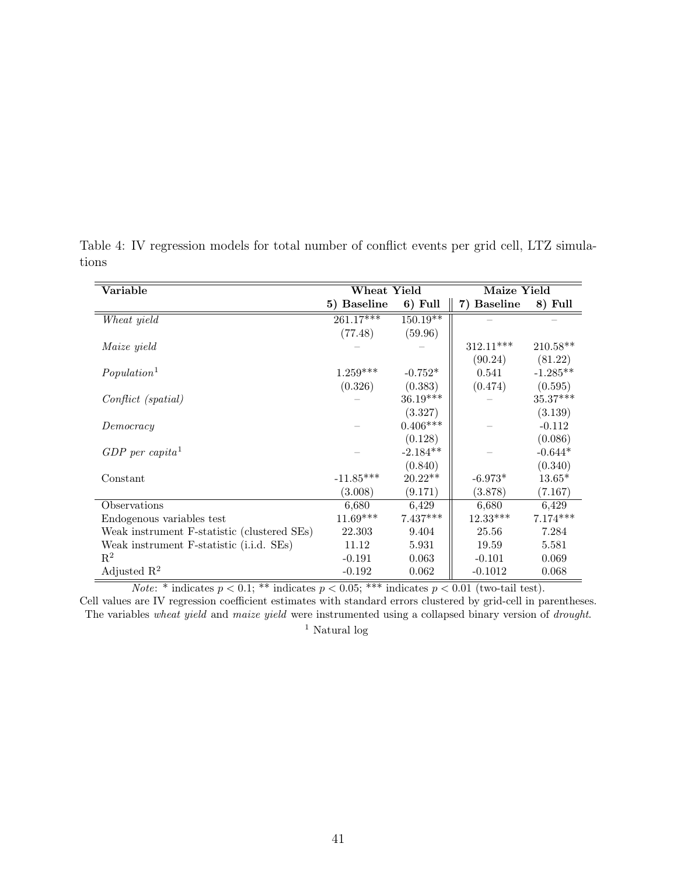| Variable                                    | Wheat Yield |            | Maize Yield |            |
|---------------------------------------------|-------------|------------|-------------|------------|
|                                             | 5) Baseline | 6) Full    | 7) Baseline | 8) Full    |
| Wheat yield                                 | $261.17***$ | $150.19**$ |             |            |
|                                             | (77.48)     | (59.96)    |             |            |
| Maize yield                                 |             |            | $312.11***$ | $210.58**$ |
|                                             |             |            | (90.24)     | (81.22)    |
| Population <sup>1</sup>                     | $1.259***$  | $-0.752*$  | 0.541       | $-1.285**$ |
|                                             | (0.326)     | (0.383)    | (0.474)     | (0.595)    |
| Conflict (spatial)                          |             | $36.19***$ |             | $35.37***$ |
|                                             |             | (3.327)    |             | (3.139)    |
| Democracy                                   |             | $0.406***$ |             | $-0.112$   |
|                                             |             | (0.128)    |             | (0.086)    |
| $GDP$ per capita <sup>1</sup>               |             | $-2.184**$ |             | $-0.644*$  |
|                                             |             | (0.840)    |             | (0.340)    |
| Constant                                    | $-11.85***$ | $20.22**$  | $-6.973*$   | $13.65*$   |
|                                             | (3.008)     | (9.171)    | (3.878)     | (7.167)    |
| Observations                                | 6,680       | 6,429      | 6,680       | 6,429      |
| Endogenous variables test                   | $11.69***$  | $7.437***$ | $12.33***$  | $7.174***$ |
| Weak instrument F-statistic (clustered SEs) | 22.303      | 9.404      | 25.56       | 7.284      |
| Weak instrument F-statistic (i.i.d. SEs)    | 11.12       | 5.931      | 19.59       | 5.581      |
| $\mathbf{R}^2$                              | $-0.191$    | 0.063      | $-0.101$    | 0.069      |
| Adjusted $\mathbb{R}^2$                     | $-0.192$    | 0.062      | $-0.1012$   | 0.068      |

Table 4: IV regression models for total number of conflict events per grid cell, LTZ simulations

Note: \* indicates  $p < 0.1$ ; \*\* indicates  $p < 0.05$ ; \*\*\* indicates  $p < 0.01$  (two-tail test).

Cell values are IV regression coefficient estimates with standard errors clustered by grid-cell in parentheses. The variables wheat yield and maize yield were instrumented using a collapsed binary version of drought.

<sup>1</sup> Natural log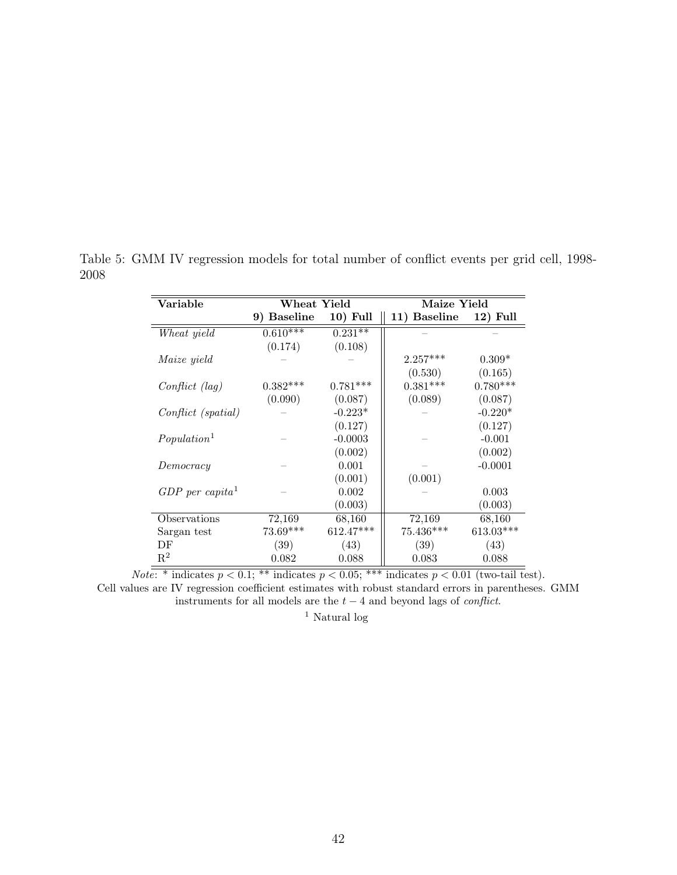| Variable                      | Wheat Yield |             | Maize Yield  |            |
|-------------------------------|-------------|-------------|--------------|------------|
|                               | 9) Baseline | 10) Full    | 11) Baseline | $12)$ Full |
| Wheat yield                   | $0.610***$  | $0.231**$   |              |            |
|                               | (0.174)     | (0.108)     |              |            |
| Maize yield                   |             |             | $2.257***$   | $0.309*$   |
|                               |             |             | (0.530)      | (0.165)    |
| $Conflict$ (lag)              | $0.382***$  | $0.781***$  | $0.381***$   | $0.780***$ |
|                               | (0.090)     | (0.087)     | (0.089)      | (0.087)    |
| Conflict (spatial)            |             | $-0.223*$   |              | $-0.220*$  |
|                               |             | (0.127)     |              | (0.127)    |
| Population <sup>1</sup>       |             | $-0.0003$   |              | $-0.001$   |
|                               |             | (0.002)     |              | (0.002)    |
| Democracy                     |             | 0.001       |              | $-0.0001$  |
|                               |             | (0.001)     | (0.001)      |            |
| $GDP$ per capita <sup>1</sup> |             | 0.002       |              | 0.003      |
|                               |             | (0.003)     |              | (0.003)    |
| Observations                  | 72,169      | 68,160      | 72,169       | 68,160     |
| Sargan test                   | $73.69***$  | $612.47***$ | $75.436***$  | 613.03***  |
| DF                            | (39)        | (43)        | (39)         | (43)       |
| $\mathrm{R}^2$                | 0.082       | 0.088       | 0.083        | 0.088      |

Table 5: GMM IV regression models for total number of conflict events per grid cell, 1998- 2008

 $Note:$  \* indicates  $p < 0.1$ ; \*\* indicates  $p < 0.05$ ; \*\*\* indicates  $p < 0.01$  (two-tail test). Cell values are IV regression coefficient estimates with robust standard errors in parentheses. GMM instruments for all models are the  $t - 4$  and beyond lags of *conflict*.

<sup>1</sup> Natural log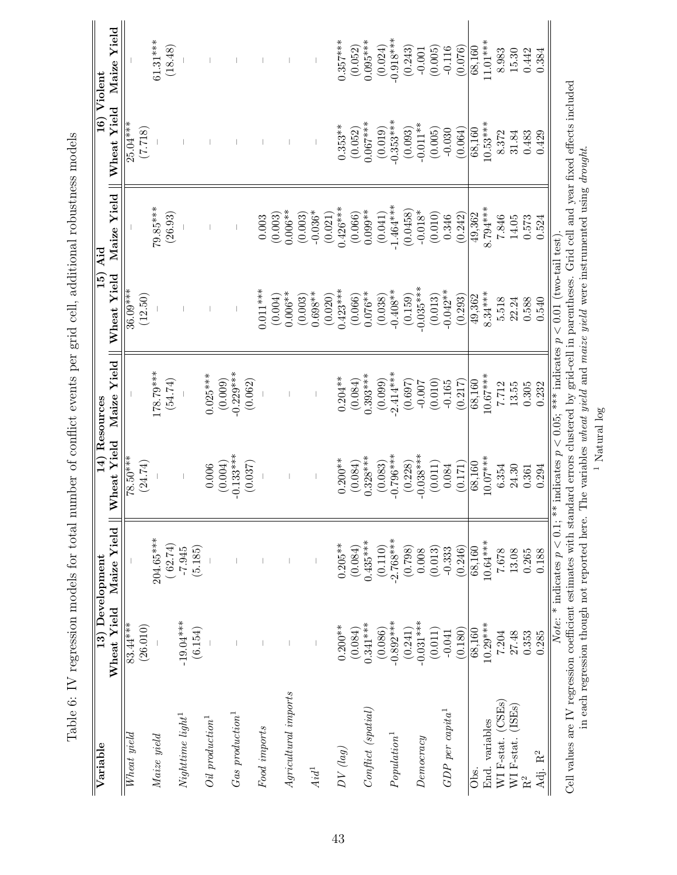| Variable                                                                                                                                                  | 13) Development<br>Wheat Yield               | Maize Yield                             | 14) Resources<br>Wheat Yield | Maize Yield                                                        | 15)<br>Wheat Yield | Maize Yield<br>Aid                                                         | 16) Violent<br>Wheat Yield | Maize Yield |
|-----------------------------------------------------------------------------------------------------------------------------------------------------------|----------------------------------------------|-----------------------------------------|------------------------------|--------------------------------------------------------------------|--------------------|----------------------------------------------------------------------------|----------------------------|-------------|
| Wheat yield                                                                                                                                               | 83.44***                                     |                                         | $78.50***$                   |                                                                    | $36.09***$         |                                                                            | $25.04***$                 |             |
|                                                                                                                                                           | (26.010)                                     |                                         | (24.74)                      |                                                                    | (12.50)            |                                                                            | (7.718)                    |             |
| Maize yield                                                                                                                                               |                                              | $204.65***$                             |                              | 178.79***                                                          |                    | 79.85****                                                                  |                            | $61.31***$  |
|                                                                                                                                                           |                                              | (62.74)                                 |                              | (54.74)                                                            |                    | (26.93)                                                                    |                            | (18.48)     |
| $\mathit{Nighttime~light^1}$                                                                                                                              | $-19.04***$                                  | $-7.945$                                |                              |                                                                    |                    |                                                                            |                            |             |
|                                                                                                                                                           | (6.154)                                      | (5.185)                                 |                              |                                                                    |                    |                                                                            |                            |             |
| $Oil\ production^1$                                                                                                                                       |                                              |                                         | 0.006                        | $0.025***$                                                         |                    |                                                                            |                            |             |
|                                                                                                                                                           |                                              |                                         | (0.004)                      | (0.009)                                                            |                    |                                                                            |                            |             |
| $Gas\ production1$                                                                                                                                        |                                              |                                         | $-0.133***$                  | $-0.229***$                                                        |                    |                                                                            |                            |             |
|                                                                                                                                                           |                                              |                                         | (0.037)                      | (0.062)                                                            |                    |                                                                            |                            |             |
| $Food$ imports                                                                                                                                            |                                              |                                         |                              |                                                                    | $0.011***$         | 0.003                                                                      |                            |             |
|                                                                                                                                                           |                                              |                                         |                              |                                                                    | (0.004)            | (0.003)                                                                    |                            |             |
| Agricultural imports                                                                                                                                      |                                              |                                         |                              |                                                                    | $0.006**$          | $0.006***$                                                                 |                            |             |
|                                                                                                                                                           |                                              |                                         |                              |                                                                    | (0.003)            | (0.003)                                                                    |                            |             |
| $Aid^1$                                                                                                                                                   |                                              |                                         |                              |                                                                    | $0.698**$          | $-0.036*$                                                                  |                            |             |
|                                                                                                                                                           |                                              |                                         |                              |                                                                    | (0.020)            | (0.021)                                                                    |                            |             |
| $DV$ (lag)                                                                                                                                                | $0.200**$                                    | $0.205**$                               | $0.200**$                    | $0.204***$                                                         | $0.423***$         | $0.426***$                                                                 | $0.353***$                 | $0.357***$  |
|                                                                                                                                                           | (0.084)                                      | (0.084)                                 | (0.084)                      | (0.084)                                                            | (0.066)            | (0.066)                                                                    | (0.052)                    | (0.052)     |
| $Conflict$ ( $spatial$ )                                                                                                                                  | $0.341***$                                   | $0.435***$                              | $0.328***$                   | $0.393***$                                                         | $0.076**$          | $0.099**$                                                                  | $0.067***$                 | $0.095***$  |
|                                                                                                                                                           | (0.086)                                      | (0.110)                                 | (0.083)                      | (0.099)                                                            | (0.038)            | (0.041)                                                                    | (0.019)                    | (0.024)     |
| $\label{eq:concl} Population$                                                                                                                             | $-0.892***$                                  | $-2.768***$                             | $-0.796***$                  | $-2.414***$                                                        | $-0.408**$         | $-1.464***$                                                                | $-0.353***$                | $-0.918***$ |
|                                                                                                                                                           | (0.241)                                      | (0.798)                                 | (0.228)                      | (0.697)                                                            | (0.159)            | (0.0458)                                                                   | (0.093)                    | (0.243)     |
| Denoc(                                                                                                                                                    | $-0.031***$                                  | 0.008                                   | $-0.038***$                  | $-0.007$                                                           | $-0.035***$        | $-0.018*$                                                                  | $-0.011**$                 | $-0.001$    |
|                                                                                                                                                           | (0.011)                                      | (0.013)                                 | (0.011)                      | (0.010)                                                            | (0.013)            | (0.010)                                                                    | (0.005)                    | (0.005)     |
| $GDP$ per capita <sup>1</sup>                                                                                                                             | $-0.041$                                     | $-0.333$                                | 0.084                        | $-0.165$                                                           | $-0.042**$         | 0.346                                                                      | $-0.030$                   | $-0.116$    |
|                                                                                                                                                           | (0.180)                                      | (0.246)                                 | (0.171)                      | (0.217)                                                            | (0.293)            | (0.242)                                                                    | (0.064)                    | (0.076)     |
| Obs.                                                                                                                                                      | 68,160                                       | 68,160                                  | 68,160                       | 68,160                                                             | 49,362             | 49,362                                                                     | 68,160                     | 68,160      |
| End. variables                                                                                                                                            | $10.29***$                                   | $10.64***$                              | $10.07***$                   | $10.67***$                                                         | 8.34***            | 8.794***                                                                   | $10.53***$                 | $11.01***$  |
| WI F-stat. (CSEs)                                                                                                                                         | 7.204                                        | 7.678                                   | 6.354                        | 7.712                                                              | 5.518              | 7.846                                                                      | 8.372                      | 8.983       |
| WI F-stat. (ISEs)                                                                                                                                         | 27.48                                        | 13.08                                   | 24.30                        | $13.55$                                                            | 22.24              | 14.05                                                                      | 31.84                      | $15.30\,$   |
| R <sup>2</sup>                                                                                                                                            | 0.353                                        | 0.265                                   | 0.361                        | 0.305                                                              | 0.588              | 0.573                                                                      | 0.483                      | 0.442       |
| Adj. $\mathbf{R}^2$                                                                                                                                       | 0.285                                        | 0.188                                   | 0.294                        | 0.232                                                              | 0.540              | 0.524                                                                      | 0.429                      | 0.384       |
|                                                                                                                                                           |                                              | <i>Note</i> : $*$ indicates $p < 0.1$ ; |                              | ** indicates $p < 0.05$ ; *** indicates $p < 0.01$ (two-tail test) |                    |                                                                            |                            |             |
| Cell values are IV regression coefficient estimates with standard errors clustered by grid-cell in parentheses. Grid cell and year fixed effects included |                                              |                                         |                              |                                                                    |                    |                                                                            |                            |             |
|                                                                                                                                                           | in each regression though not reported here. |                                         |                              |                                                                    |                    | The variables wheat yield and maize yield were instrumented using drought. |                            |             |

Cell values are IV regression coefficient estimates with standard errors clustered by grid-cell in parentheses. Grid cell and year fixed effects included in each regression though not reported here. The variables wheat yield and maize yield were instrumented using drought. 1 Natural log

Table 6: IV regression models for total number of conflict events per grid cell, additional robustness models Table 6: IV regression models for total number of conflict events per grid cell, additional robustness models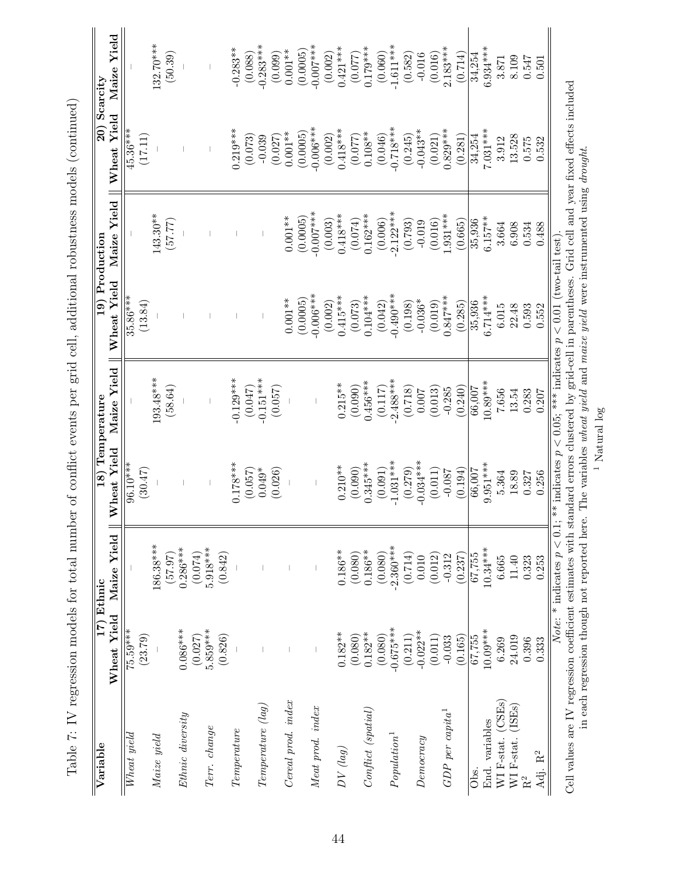| Variable                                                                                                                                                  | Wheat Yield           | Maize Yield<br>17) Ethnic             | 18) Temperature<br>Wheat Yield                                                                                          | Maize Yield | Wheat Yield                                                        | Maize Yield<br>19) Production | Wheat Yield<br>(20)   | Maize Yield<br>Scarcity |
|-----------------------------------------------------------------------------------------------------------------------------------------------------------|-----------------------|---------------------------------------|-------------------------------------------------------------------------------------------------------------------------|-------------|--------------------------------------------------------------------|-------------------------------|-----------------------|-------------------------|
| Wheat yield                                                                                                                                               | $75.59***$<br>(23.79) |                                       | $96.10***$<br>(30.47)                                                                                                   |             | $35.86***$<br>(13.84)                                              |                               | $45.36***$<br>(17.11) |                         |
| Maize yield                                                                                                                                               |                       | $186.38***$                           |                                                                                                                         | $193.48***$ |                                                                    | $143.30**$                    |                       | 132.70***               |
| Ethnic diversity                                                                                                                                          | $0.086***$            | $0.286***$<br>(57.97)                 |                                                                                                                         | (58.64)     |                                                                    | (57.77)                       |                       | (50.39)                 |
|                                                                                                                                                           | (0.027)               | (0.074)                               |                                                                                                                         |             |                                                                    |                               |                       |                         |
| Terr. change                                                                                                                                              | 5.859***<br>(0.826)   | $5.918***$<br>(0.842)                 |                                                                                                                         |             |                                                                    |                               |                       |                         |
| Temperature                                                                                                                                               |                       |                                       | $0.178***$                                                                                                              | $-0.129***$ |                                                                    |                               | $0.219***$            | $-0.283**$              |
|                                                                                                                                                           |                       |                                       | (0.057)                                                                                                                 | (0.047)     |                                                                    |                               | (0.073)               | (0.088)                 |
| Temperature (lag)                                                                                                                                         |                       |                                       | $0.049*$                                                                                                                | $-0.151***$ |                                                                    |                               | $-0.039$              | $-0.283***$             |
|                                                                                                                                                           |                       |                                       | (0.026)                                                                                                                 | (0.057)     |                                                                    |                               | (0.027)               | (0.099)                 |
| Cereal prod. index                                                                                                                                        |                       |                                       |                                                                                                                         |             | $0.001**$                                                          | $0.001***$                    | $0.001***$            | $0.001**$               |
|                                                                                                                                                           |                       |                                       |                                                                                                                         |             | (0.0005)                                                           | (0.0005)                      | (0.0005)              | (0.0005)                |
| Meat prod. index                                                                                                                                          |                       |                                       |                                                                                                                         |             | $-0.006***$                                                        | $-0.007$ ***                  | $0.006***$            | $-0.007$ ***            |
|                                                                                                                                                           |                       |                                       |                                                                                                                         |             | (0.002)                                                            | (0.003)                       | (0.002)               | (0.002)                 |
| $DV$ (lag)                                                                                                                                                | $0.182***$            | $0.186**$                             | $0.210**$                                                                                                               | $0.215***$  | $0.415***$                                                         | $0.418***$                    | $0.418***$            | $0.421***$              |
|                                                                                                                                                           | (0.080)               | (0.080)                               | (0.090)                                                                                                                 | (0.090)     | (0.073)                                                            | (0.074)                       | (0.077)               | (770.077)               |
| $Conflict\ (spatial)$                                                                                                                                     | $0.182**$             | $0.186**$                             | $0.345***$                                                                                                              | $0.456***$  | $0.104***$                                                         | $0.162***$                    | $0.108**$             |                         |
|                                                                                                                                                           | (0.080)               | (0.080)                               | (0.091)                                                                                                                 | (0.117)     | (0.042)                                                            | (0.006)                       | (0.046)               | (0.060)                 |
| $Population^1$                                                                                                                                            | $-0.675***$           | $-2.360***$                           | $-1.031***$                                                                                                             | $-2.488***$ | $-0.490$ ***                                                       | $-2.122***$                   | $-0.718***$           | $-1.611***$             |
|                                                                                                                                                           | (0.211)               | (0.714)                               | (0.279)                                                                                                                 | (0.718)     | (0.198)                                                            | (0.793)                       | (0.245)               | (0.582)                 |
| Denocncy                                                                                                                                                  | $-0.022**$            | 0.010                                 | $-0.034***$                                                                                                             | 0.007       | $-0.036*$                                                          | $-0.019$                      | $-0.043**$            | $-0.016$                |
|                                                                                                                                                           | (0.011)               | (0.012)                               | (0.011)                                                                                                                 | (0.013)     | (0.019)                                                            | (0.016)                       | (0.021)               | $(0.016)$<br>2.183***   |
| $GDP$ per capita <sup>1</sup>                                                                                                                             | $-0.033$              | $-0.312$                              | $-0.087$                                                                                                                | $-0.285$    | $0.847***$                                                         | $1.931***$                    | $0.829***$            |                         |
|                                                                                                                                                           | (0.165)               | (0.237)                               | (0.194)                                                                                                                 | (0.240)     | (0.285)                                                            | (0.665)                       | (0.281)               | (0.714)                 |
| Obs.                                                                                                                                                      | 67,755                | 67,755                                | 66,007                                                                                                                  | 66,007      | 35,936                                                             | 35,936                        | 34,254                | 34,254                  |
| End. variables                                                                                                                                            | 10.09***              | $10.34***$                            | $9.951***$                                                                                                              | $10.89***$  | $6.714***$                                                         | $6.157***$                    | $7.031***$            | $6.934***$              |
| WI F-stat. (CSEs)                                                                                                                                         | 6.269                 | 6.665                                 | 5.364                                                                                                                   | 7.656       | 6.015                                                              | 3.664                         | 3.912                 | 3.871                   |
| WI F-stat. (ISEs)                                                                                                                                         | 24.019                | 11.40                                 | 18.89                                                                                                                   | 13.54       | 22.48                                                              | 6.908                         | 13.528                | 8.109                   |
| $R^2$                                                                                                                                                     | 0.396                 | 0.323                                 | 0.327                                                                                                                   | 0.283       | 0.593                                                              | 0.534                         | 0.575                 | 0.547                   |
| $\mathrm{R}^2$<br>Adj.                                                                                                                                    | 0.333                 | 0.253                                 | 0.256                                                                                                                   | 0.207       | 0.552                                                              | 0.488                         | 0.532                 | 0.501                   |
|                                                                                                                                                           |                       | <i>Note</i> : * indicates $p < 0.1$ ; |                                                                                                                         |             | ** indicates $p < 0.05$ ; *** indicates $p < 0.01$ (two-tail test) |                               |                       |                         |
| Cell values are IV regression coefficient estimates with standard errors clustered by grid-cell in parentheses. Grid cell and year fixed effects included |                       |                                       |                                                                                                                         |             |                                                                    |                               |                       |                         |
|                                                                                                                                                           |                       |                                       | in each regression though not reported here. The variables wheat yield and maize yield were instrumented using drought. |             |                                                                    |                               |                       |                         |

1 Natural log

Cell values are IV regression coefficient estimates with standard errors clustered by grid-cell in parentheses. Grid cell and year fixed effects included in each regression though not reported here. The variables wheat yield and maize yield were instrumented using drought.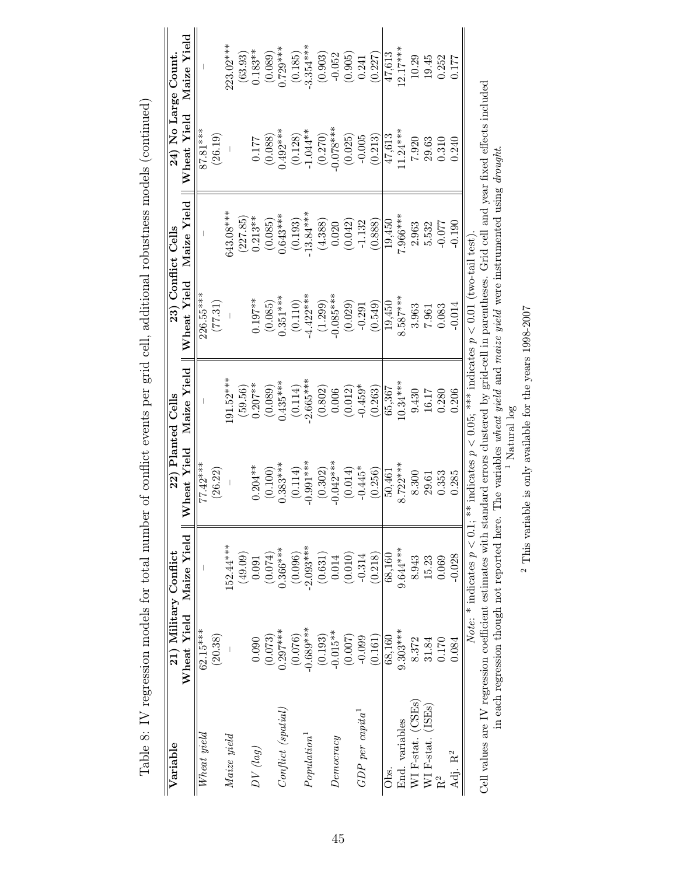| Variable                                                                                                                                                  | 21) Military Conflict                                                                                                   |                                       | 22) Planted Cells |             | 23) Conflict Cells                                                 |             | 24) No Large Count       |             |
|-----------------------------------------------------------------------------------------------------------------------------------------------------------|-------------------------------------------------------------------------------------------------------------------------|---------------------------------------|-------------------|-------------|--------------------------------------------------------------------|-------------|--------------------------|-------------|
|                                                                                                                                                           | Wheat Yield                                                                                                             | Maize Yield                           | Wheat Yield       | Maize Yield | Wheat Yield                                                        | Maize Yield | Wheat Yield              | Maize Yield |
| Wheat yield                                                                                                                                               | 62.15***                                                                                                                |                                       | 77.42***          |             | 226.55***                                                          |             | $87.81***$               |             |
|                                                                                                                                                           | (20.38)                                                                                                                 |                                       | (26.22)           |             | (77.31)                                                            |             | (26.19)                  |             |
| Maize yield                                                                                                                                               |                                                                                                                         | 152.44***                             |                   | $.91.52***$ |                                                                    | 643.08***   |                          | 223.02***   |
|                                                                                                                                                           |                                                                                                                         | (49.09)                               |                   | (59.56)     |                                                                    | (227.85)    |                          | (63.93)     |
| $DV~(\mathit{lag})$                                                                                                                                       | 0.090                                                                                                                   | 0.091                                 | $0.204**$         | $0.207**$   | $0.197***$                                                         | $0.213**$   | 0.177                    | $0.183**$   |
|                                                                                                                                                           | (0.073)                                                                                                                 | (0.074)                               | (0.100)           | (0.089)     | (0.085)                                                            | (0.085)     | (0.088)                  | (0.089)     |
| Conflict~(spatial)                                                                                                                                        | $0.297***$                                                                                                              | $0.366***$                            | $0.383***$        | $0.435***$  | $0.351***$                                                         | $0.643***$  | $0.492***$               | $0.729***$  |
|                                                                                                                                                           | (0.076)                                                                                                                 | (0.096)                               | (0.114)           | (0.114)     | (0.110)                                                            | (0.193)     | (0.128)                  | (0.185)     |
| $Population^1$                                                                                                                                            | $-0.689***$                                                                                                             | $-2.093***$                           | $-0.991***$       | $-2.665***$ | $-4.422***$                                                        | $-13.84***$ | $-1.044**$               | $-3.354***$ |
|                                                                                                                                                           | (0.193)                                                                                                                 | (0.631)                               | (0.302)           | (0.802)     | (1.299)                                                            | (4.388)     | $(0.270)$<br>$-0.078***$ | (0.903)     |
| Democracy                                                                                                                                                 | $-0.015**$                                                                                                              | 0.014                                 | $-0.042***$       | 0.006       | $-0.085***$                                                        | 0.020       |                          | $-0.052$    |
|                                                                                                                                                           | (0.007)                                                                                                                 | (0.010)                               | (0.014)           | (0.012)     | (0.029)                                                            | (0.042)     | (0.025)                  | (0.905)     |
| $GDP$ per capita <sup>1</sup>                                                                                                                             | $-0.099$                                                                                                                | $-0.314$                              | $-0.445*$         | $-0.459*$   | $-0.291$                                                           | $-1.132$    | $-0.005$                 | 0.241       |
|                                                                                                                                                           | (0.161)                                                                                                                 | (0.218)                               | (0.256)           | (0.263)     | (0.549)                                                            | (0.888)     | (0.213)                  | (0.227)     |
| Ōbs.                                                                                                                                                      | 68,160                                                                                                                  | 68.160                                | 50,461            | 65,367      | 19,450                                                             | 19,450      | 47,613                   | 47,613      |
| End. variables                                                                                                                                            | $9.303***$                                                                                                              | $9.644***$                            | $8.722***$        | $10.34***$  | $8.587***$                                                         | 7.966 ***   | $11.24***$               | $2.17***$   |
| WI F-stat. (CSEs)                                                                                                                                         | 8.372                                                                                                                   | 8.943                                 | 8.300             | 9.430       | 3.963                                                              | 2.963       | 7.920                    | 10.29       |
| WI F-stat. (ISEs)                                                                                                                                         | 31.84                                                                                                                   | 15.23                                 | 29.61             | 16.17       | 7.961                                                              | 5.532       | 29.63                    | 19.45       |
|                                                                                                                                                           | 0.170                                                                                                                   | 0.069                                 | 0.353             | 0.280       | 0.083                                                              | $-0.077$    | 0.310                    | 0.252       |
| Adj. $\rm R^2$                                                                                                                                            | 0.084                                                                                                                   | $-0.028$                              | 0.285             | 0.206       | 0.014                                                              | $-0.190$    | 0.240                    | 0.177       |
|                                                                                                                                                           |                                                                                                                         | <i>Note</i> : * indicates $p < 0.1$ ; |                   |             | ** indicates $p < 0.05$ ; *** indicates $p < 0.01$ (two-tail test) |             |                          |             |
| Cell values are IV regression coefficient estimates with standard errors clustered by grid-cell in parentheses. Grid cell and year fixed effects included |                                                                                                                         |                                       |                   |             |                                                                    |             |                          |             |
|                                                                                                                                                           | in each regression though not reported here. The variables wheat yield and maize yield were instrumented using drought. |                                       |                   |             |                                                                    |             |                          |             |

in each regression though not reported here. The variables wheat yield and maize yield were instrumented using drought. 1 Natural log  $^2$  This variable is only available for the years  $1998\text{-}2007$ This variable is only available for the years 1998-2007

Table 8: IV regression models for total number of conflict events per grid cell, additional robustness models (continued) Table 8: IV regression models for total number of conflict events per grid cell, additional robustness models (continued)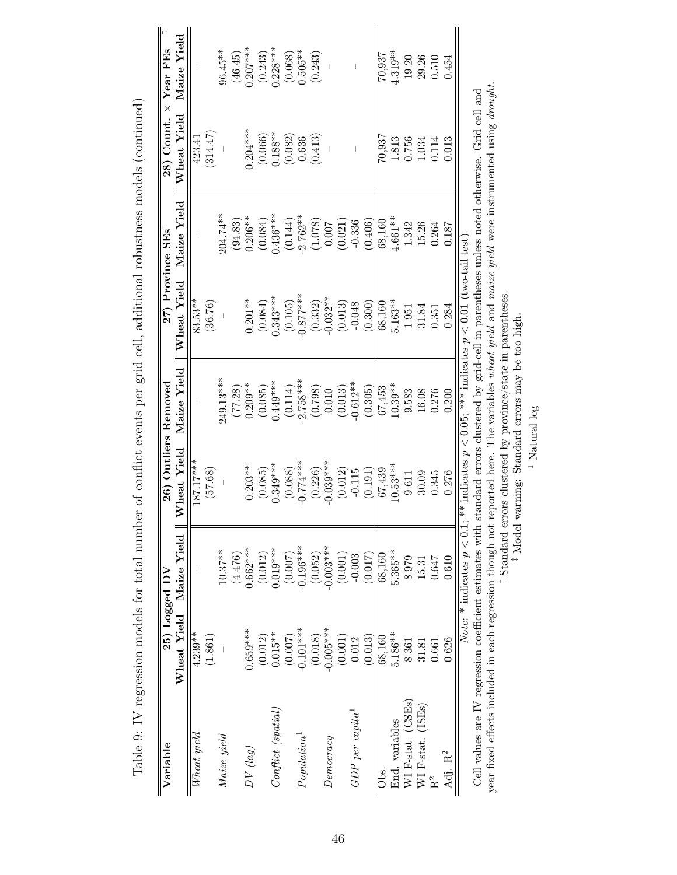| Variable                                                 | 25) Logged DV           |                                       | 26) Outliers Removed |                      | 27) Province SEs                                                   |             | 28) Count. $\times$ Year FEs                                                                |                         |
|----------------------------------------------------------|-------------------------|---------------------------------------|----------------------|----------------------|--------------------------------------------------------------------|-------------|---------------------------------------------------------------------------------------------|-------------------------|
|                                                          | Wheat Yield Maize Yield |                                       | Wheat Yield          | Maize Yield          | Wheat Yield                                                        | Maize Yield | Wheat Yield                                                                                 | Maize Yield             |
| Wheat yield                                              | $4.239**$               |                                       | $187.17***$          |                      | 83.53**                                                            |             | 423.41                                                                                      |                         |
|                                                          | (1.861)                 |                                       | (57.68)              |                      | (36.76)                                                            |             | (314.47)                                                                                    |                         |
| Maize yield                                              |                         | $10.37***$                            |                      | 249.13***            |                                                                    | 204.74**    |                                                                                             | 96.45**                 |
|                                                          |                         | (4.476)                               |                      |                      |                                                                    | (94.83)     |                                                                                             |                         |
| $DV~(\log)$                                              | $0.659***$              | $0.662***$                            | $0.203**$            | $(77.28)$<br>0.209** | $0.201**$                                                          | $0.206**$   | $0.204***$                                                                                  | $(46.45)$<br>0.207***   |
|                                                          | (0.012)                 | (0.012)                               | (0.085)              | (0.085)              | (0.084)                                                            | (0.084)     |                                                                                             | $(0.243)$<br>$0.228***$ |
| Conflict~(spatial)                                       | $0.015***$              | $0.019***$                            | $0.349***$           | $0.449***$           | $0.343***$                                                         | $0.436***$  | $(0.066)$<br>0.188**                                                                        |                         |
|                                                          | (0.007)                 | (0.007)                               | (0.088)              | (0.114)              | (0.105)                                                            | (0.144)     | (0.082)                                                                                     | (0.068)                 |
| $Population^1$                                           | $-0.101***$             | $-0.196***$                           | $-0.774***$          | $-2.758***$          | $0.877***$                                                         | $2.762**$   | 0.636                                                                                       | $0.505**$               |
|                                                          | (0.018)                 | (0.052)                               | (0.226)              | (0.798)              | (0.332)                                                            | (1.078)     | (0.413)                                                                                     | (0.243)                 |
| Denocrey                                                 | $-0.005***$             | $-0.003***$                           | $0.039***$           | 0.010                | $-0.032**$                                                         | 0.007       |                                                                                             |                         |
|                                                          | (0.001)                 | (0.001)                               | (0.012)              | (0.013)              | (0.013)                                                            | (0.021)     |                                                                                             |                         |
| $GDP$ per capita <sup>1</sup>                            | 0.012                   | $-0.003$                              | $-0.115$             | $-0.612**$           | $-0.048$                                                           | $-0.336$    |                                                                                             |                         |
|                                                          | (0.013)                 | (0.017)                               | (0.191)              | (0.305)              | (0.300)                                                            | (0.406)     |                                                                                             |                         |
| Ōbs.                                                     | 68,160                  | 68,160                                | 67,439               | 67,453               | 68,160                                                             | 68,160      | 70,937                                                                                      | 70,937                  |
| End. variables                                           | $5.186**$               | 5.365**                               | $0.53***$            | $10.39***$           | $5.163**$                                                          | 1.661**     | 1.813                                                                                       | $4.319***$              |
| WI F-stat. (CSEs)                                        | 8.361                   | 8.979                                 | 9.611                | 9.583                | 1.951                                                              | 1.342       | 0.756                                                                                       | 19.20                   |
| WI F-stat. (ISEs)                                        | 31.81                   | 15.31                                 | 30.09                | 16.08                | 31.84                                                              | 15.26       | 1.034                                                                                       |                         |
|                                                          | 0.661                   | 0.647                                 | 0.345                | 0.276                | 0.351                                                              | 0.264       | 0.114                                                                                       | $29.26$<br>$0.510$      |
| Adj. R <sup>2</sup>                                      | 0.626                   | 0.610                                 | 0.276                | 0.200                | 0.284                                                              | 0.187       | 0.013                                                                                       | 0.454                   |
|                                                          |                         | <i>Note</i> : * indicates $p < 0.1$ ; |                      |                      | ** indicates $p < 0.05$ ; *** indicates $p < 0.01$ (two-tail test) |             |                                                                                             |                         |
| Cell values are IV regression coefficient estimates with |                         |                                       |                      |                      |                                                                    |             | standard errors clustered by grid-cell in parentheses unless noted otherwise. Grid cell and |                         |

year fixed effects included in each regression though not reported here. The variables wheat yield and maize yield were instrumented using drought.  $^\dagger$  Standard errors clustered by province/state in parentheses. Standard errors clustered by province/state in parentheses. <sup>‡</sup> Model warning: Standard errors may be too high. Model warning: Standard errors may be too high. 1 Natural log

year fixed effects included in each regression though not reported here. The variables wheat yield and maize yield were instrumented using drought.

Table 9: IV regression models for total number of conflict events per grid cell, additional robustness models (continued) Table 9: IV regression models for total number of conflict events per grid cell, additional robustness models (continued)

46